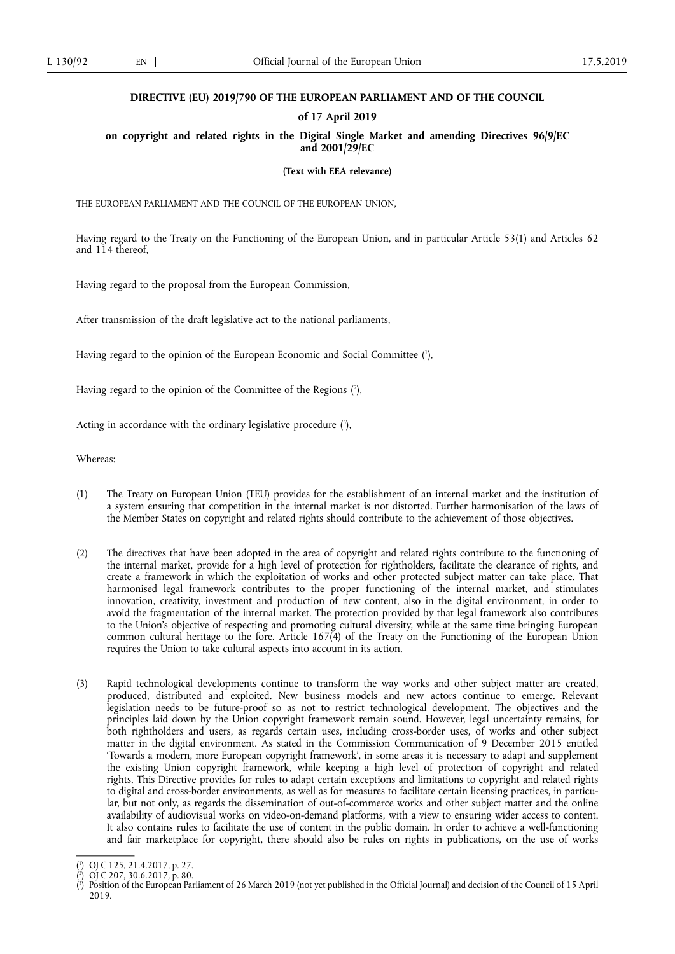## **DIRECTIVE (EU) 2019/790 OF THE EUROPEAN PARLIAMENT AND OF THE COUNCIL**

## **of 17 April 2019**

**on copyright and related rights in the Digital Single Market and amending Directives 96/9/EC and 2001/29/EC** 

**(Text with EEA relevance)** 

THE EUROPEAN PARLIAMENT AND THE COUNCIL OF THE EUROPEAN UNION,

Having regard to the Treaty on the Functioning of the European Union, and in particular Article 53(1) and Articles 62 and 114 thereof,

Having regard to the proposal from the European Commission,

After transmission of the draft legislative act to the national parliaments,

Having regard to the opinion of the European Economic and Social Committee ( 1 ),

Having regard to the opinion of the Committee of the Regions (2),

Acting in accordance with the ordinary legislative procedure  $(3)$ ,

Whereas:

- (1) The Treaty on European Union (TEU) provides for the establishment of an internal market and the institution of a system ensuring that competition in the internal market is not distorted. Further harmonisation of the laws of the Member States on copyright and related rights should contribute to the achievement of those objectives.
- (2) The directives that have been adopted in the area of copyright and related rights contribute to the functioning of the internal market, provide for a high level of protection for rightholders, facilitate the clearance of rights, and create a framework in which the exploitation of works and other protected subject matter can take place. That harmonised legal framework contributes to the proper functioning of the internal market, and stimulates innovation, creativity, investment and production of new content, also in the digital environment, in order to avoid the fragmentation of the internal market. The protection provided by that legal framework also contributes to the Union's objective of respecting and promoting cultural diversity, while at the same time bringing European common cultural heritage to the fore. Article 167(4) of the Treaty on the Functioning of the European Union requires the Union to take cultural aspects into account in its action.
- (3) Rapid technological developments continue to transform the way works and other subject matter are created, produced, distributed and exploited. New business models and new actors continue to emerge. Relevant legislation needs to be future-proof so as not to restrict technological development. The objectives and the principles laid down by the Union copyright framework remain sound. However, legal uncertainty remains, for both rightholders and users, as regards certain uses, including cross-border uses, of works and other subject matter in the digital environment. As stated in the Commission Communication of 9 December 2015 entitled 'Towards a modern, more European copyright framework', in some areas it is necessary to adapt and supplement the existing Union copyright framework, while keeping a high level of protection of copyright and related rights. This Directive provides for rules to adapt certain exceptions and limitations to copyright and related rights to digital and cross-border environments, as well as for measures to facilitate certain licensing practices, in particular, but not only, as regards the dissemination of out-of-commerce works and other subject matter and the online availability of audiovisual works on video-on-demand platforms, with a view to ensuring wider access to content. It also contains rules to facilitate the use of content in the public domain. In order to achieve a well-functioning and fair marketplace for copyright, there should also be rules on rights in publications, on the use of works

<sup>(</sup> 1 ) OJ C 125, 21.4.2017, p. 27.

<sup>(</sup> 2 ) OJ C 207, 30.6.2017, p. 80.

<sup>(</sup> 3 ) Position of the European Parliament of 26 March 2019 (not yet published in the Official Journal) and decision of the Council of 15 April 2019.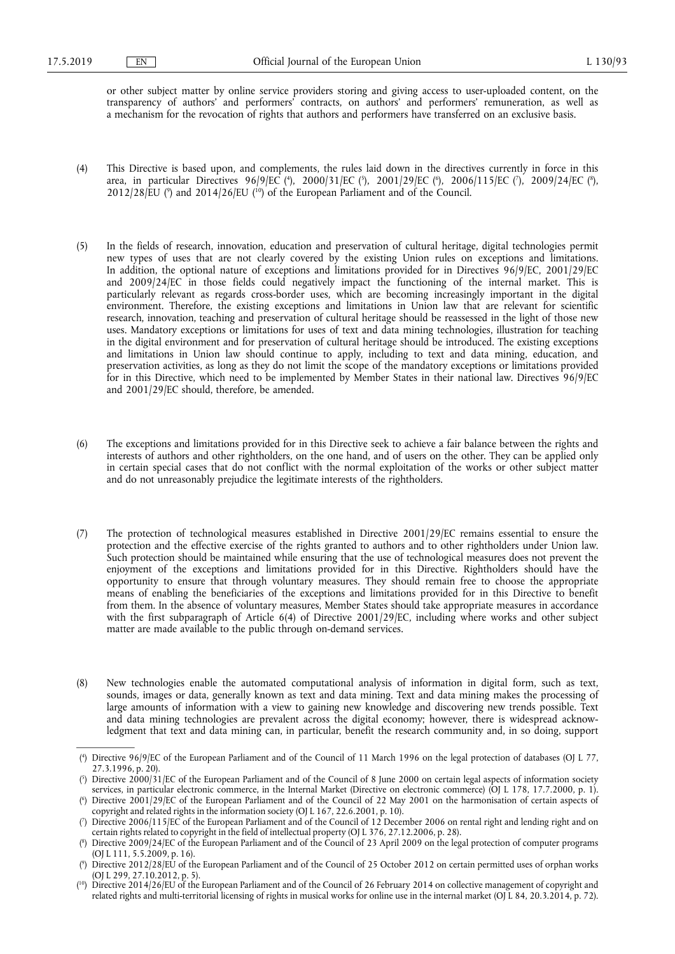or other subject matter by online service providers storing and giving access to user-uploaded content, on the transparency of authors' and performers' contracts, on authors' and performers' remuneration, as well as a mechanism for the revocation of rights that authors and performers have transferred on an exclusive basis.

- (4) This Directive is based upon, and complements, the rules laid down in the directives currently in force in this area, in particular Directives 96/9/EC (\*), 2000/31/EC (\*), 2001/29/EC (\*), 2006/115/EC (\*), 2009/24/EC (\*),  $2012/28$ /EU ( $\degree$ ) and  $2014/26$ /EU ( $\degree$ ) of the European Parliament and of the Council.
- (5) In the fields of research, innovation, education and preservation of cultural heritage, digital technologies permit new types of uses that are not clearly covered by the existing Union rules on exceptions and limitations. In addition, the optional nature of exceptions and limitations provided for in Directives 96/9/EC, 2001/29/EC and 2009/24/EC in those fields could negatively impact the functioning of the internal market. This is particularly relevant as regards cross-border uses, which are becoming increasingly important in the digital environment. Therefore, the existing exceptions and limitations in Union law that are relevant for scientific research, innovation, teaching and preservation of cultural heritage should be reassessed in the light of those new uses. Mandatory exceptions or limitations for uses of text and data mining technologies, illustration for teaching in the digital environment and for preservation of cultural heritage should be introduced. The existing exceptions and limitations in Union law should continue to apply, including to text and data mining, education, and preservation activities, as long as they do not limit the scope of the mandatory exceptions or limitations provided for in this Directive, which need to be implemented by Member States in their national law. Directives 96/9/EC and 2001/29/EC should, therefore, be amended.
- (6) The exceptions and limitations provided for in this Directive seek to achieve a fair balance between the rights and interests of authors and other rightholders, on the one hand, and of users on the other. They can be applied only in certain special cases that do not conflict with the normal exploitation of the works or other subject matter and do not unreasonably prejudice the legitimate interests of the rightholders.
- (7) The protection of technological measures established in Directive 2001/29/EC remains essential to ensure the protection and the effective exercise of the rights granted to authors and to other rightholders under Union law. Such protection should be maintained while ensuring that the use of technological measures does not prevent the enjoyment of the exceptions and limitations provided for in this Directive. Rightholders should have the opportunity to ensure that through voluntary measures. They should remain free to choose the appropriate means of enabling the beneficiaries of the exceptions and limitations provided for in this Directive to benefit from them. In the absence of voluntary measures, Member States should take appropriate measures in accordance with the first subparagraph of Article 6(4) of Directive 2001/29/EC, including where works and other subject matter are made available to the public through on-demand services.
- (8) New technologies enable the automated computational analysis of information in digital form, such as text, sounds, images or data, generally known as text and data mining. Text and data mining makes the processing of large amounts of information with a view to gaining new knowledge and discovering new trends possible. Text and data mining technologies are prevalent across the digital economy; however, there is widespread acknowledgment that text and data mining can, in particular, benefit the research community and, in so doing, support

<sup>(</sup> 4 ) Directive 96/9/EC of the European Parliament and of the Council of 11 March 1996 on the legal protection of databases (OJ L 77, 27.3.1996, p. 20).

<sup>(</sup> 5 ) Directive 2000/31/EC of the European Parliament and of the Council of 8 June 2000 on certain legal aspects of information society services, in particular electronic commerce, in the Internal Market (Directive on electronic commerce) (OJ L 178, 17.7.2000, p. 1).

<sup>(</sup> 6 ) Directive 2001/29/EC of the European Parliament and of the Council of 22 May 2001 on the harmonisation of certain aspects of copyright and related rights in the information society (OJ L 167, 22.6.2001, p. 10).

<sup>(</sup> 7 ) Directive 2006/115/EC of the European Parliament and of the Council of 12 December 2006 on rental right and lending right and on certain rights related to copyright in the field of intellectual property (OJ L 376, 27.12.2006, p. 28).

<sup>(</sup> 8 ) Directive 2009/24/EC of the European Parliament and of the Council of 23 April 2009 on the legal protection of computer programs (OJ L 111, 5.5.2009, p. 16).

<sup>(</sup> 9 ) Directive 2012/28/EU of the European Parliament and of the Council of 25 October 2012 on certain permitted uses of orphan works (OJ L 299, 27.10.2012, p. 5).

<sup>(</sup> 10) Directive 2014/26/EU of the European Parliament and of the Council of 26 February 2014 on collective management of copyright and related rights and multi-territorial licensing of rights in musical works for online use in the internal market (OJ L 84, 20.3.2014, p. 72).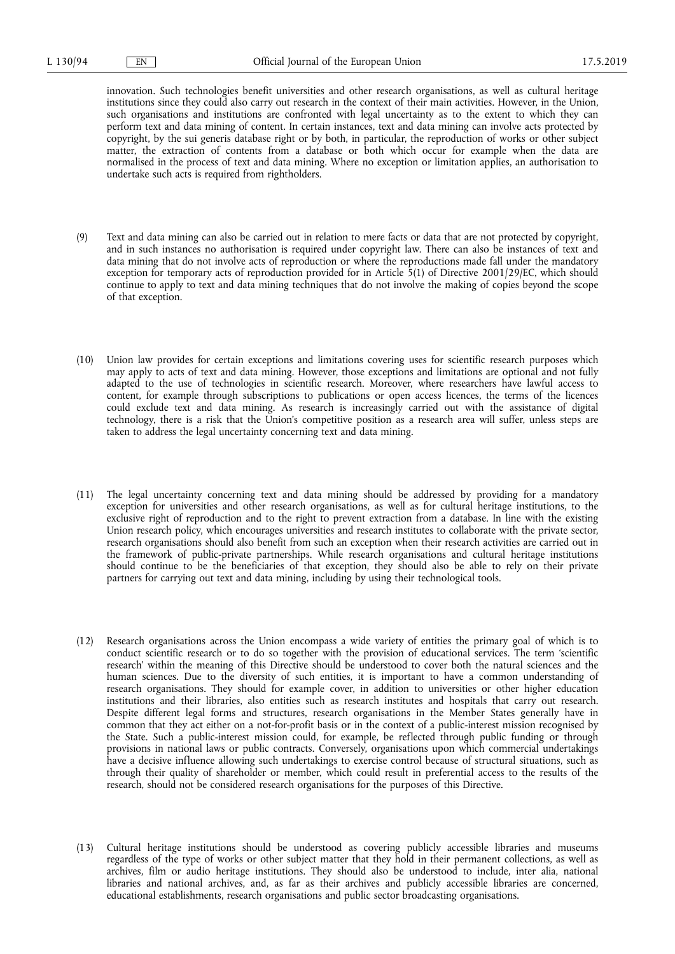innovation. Such technologies benefit universities and other research organisations, as well as cultural heritage institutions since they could also carry out research in the context of their main activities. However, in the Union, such organisations and institutions are confronted with legal uncertainty as to the extent to which they can perform text and data mining of content. In certain instances, text and data mining can involve acts protected by copyright, by the sui generis database right or by both, in particular, the reproduction of works or other subject matter, the extraction of contents from a database or both which occur for example when the data are normalised in the process of text and data mining. Where no exception or limitation applies, an authorisation to undertake such acts is required from rightholders.

- (9) Text and data mining can also be carried out in relation to mere facts or data that are not protected by copyright, and in such instances no authorisation is required under copyright law. There can also be instances of text and data mining that do not involve acts of reproduction or where the reproductions made fall under the mandatory exception for temporary acts of reproduction provided for in Article 5(1) of Directive 2001/29/EC, which should continue to apply to text and data mining techniques that do not involve the making of copies beyond the scope of that exception.
- (10) Union law provides for certain exceptions and limitations covering uses for scientific research purposes which may apply to acts of text and data mining. However, those exceptions and limitations are optional and not fully adapted to the use of technologies in scientific research. Moreover, where researchers have lawful access to content, for example through subscriptions to publications or open access licences, the terms of the licences could exclude text and data mining. As research is increasingly carried out with the assistance of digital technology, there is a risk that the Union's competitive position as a research area will suffer, unless steps are taken to address the legal uncertainty concerning text and data mining.
- (11) The legal uncertainty concerning text and data mining should be addressed by providing for a mandatory exception for universities and other research organisations, as well as for cultural heritage institutions, to the exclusive right of reproduction and to the right to prevent extraction from a database. In line with the existing Union research policy, which encourages universities and research institutes to collaborate with the private sector, research organisations should also benefit from such an exception when their research activities are carried out in the framework of public-private partnerships. While research organisations and cultural heritage institutions should continue to be the beneficiaries of that exception, they should also be able to rely on their private partners for carrying out text and data mining, including by using their technological tools.
- (12) Research organisations across the Union encompass a wide variety of entities the primary goal of which is to conduct scientific research or to do so together with the provision of educational services. The term 'scientific research' within the meaning of this Directive should be understood to cover both the natural sciences and the human sciences. Due to the diversity of such entities, it is important to have a common understanding of research organisations. They should for example cover, in addition to universities or other higher education institutions and their libraries, also entities such as research institutes and hospitals that carry out research. Despite different legal forms and structures, research organisations in the Member States generally have in common that they act either on a not-for-profit basis or in the context of a public-interest mission recognised by the State. Such a public-interest mission could, for example, be reflected through public funding or through provisions in national laws or public contracts. Conversely, organisations upon which commercial undertakings have a decisive influence allowing such undertakings to exercise control because of structural situations, such as through their quality of shareholder or member, which could result in preferential access to the results of the research, should not be considered research organisations for the purposes of this Directive.
- (13) Cultural heritage institutions should be understood as covering publicly accessible libraries and museums regardless of the type of works or other subject matter that they hold in their permanent collections, as well as archives, film or audio heritage institutions. They should also be understood to include, inter alia, national libraries and national archives, and, as far as their archives and publicly accessible libraries are concerned, educational establishments, research organisations and public sector broadcasting organisations.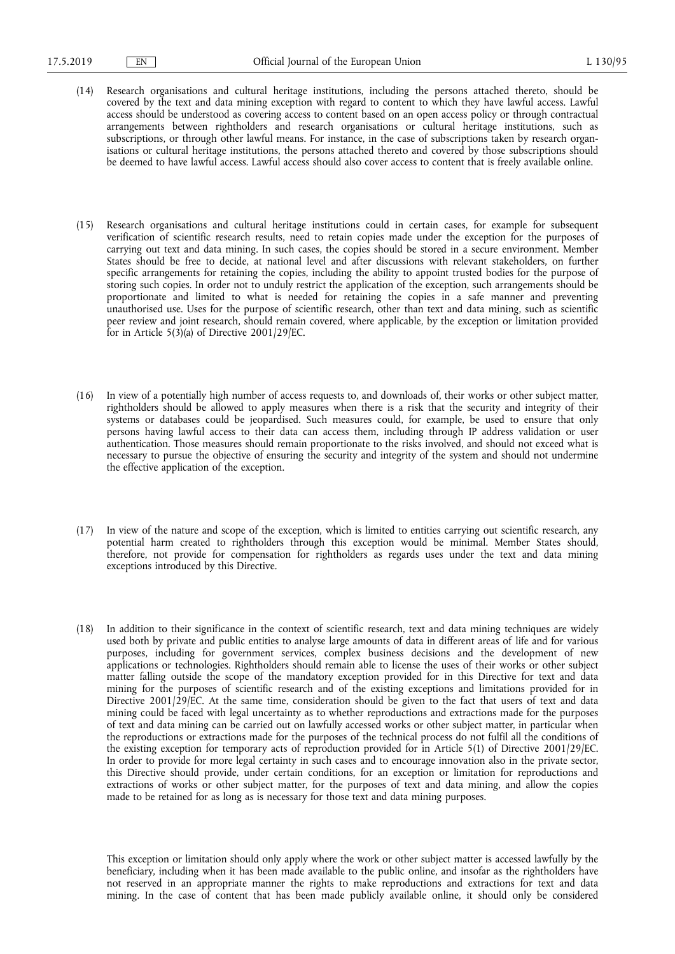- (14) Research organisations and cultural heritage institutions, including the persons attached thereto, should be covered by the text and data mining exception with regard to content to which they have lawful access. Lawful access should be understood as covering access to content based on an open access policy or through contractual arrangements between rightholders and research organisations or cultural heritage institutions, such as subscriptions, or through other lawful means. For instance, in the case of subscriptions taken by research organisations or cultural heritage institutions, the persons attached thereto and covered by those subscriptions should be deemed to have lawful access. Lawful access should also cover access to content that is freely available online.
- (15) Research organisations and cultural heritage institutions could in certain cases, for example for subsequent verification of scientific research results, need to retain copies made under the exception for the purposes of carrying out text and data mining. In such cases, the copies should be stored in a secure environment. Member States should be free to decide, at national level and after discussions with relevant stakeholders, on further specific arrangements for retaining the copies, including the ability to appoint trusted bodies for the purpose of storing such copies. In order not to unduly restrict the application of the exception, such arrangements should be proportionate and limited to what is needed for retaining the copies in a safe manner and preventing unauthorised use. Uses for the purpose of scientific research, other than text and data mining, such as scientific peer review and joint research, should remain covered, where applicable, by the exception or limitation provided for in Article  $5(3)(a)$  of Directive 2001/29/EC.
- (16) In view of a potentially high number of access requests to, and downloads of, their works or other subject matter, rightholders should be allowed to apply measures when there is a risk that the security and integrity of their systems or databases could be jeopardised. Such measures could, for example, be used to ensure that only persons having lawful access to their data can access them, including through IP address validation or user authentication. Those measures should remain proportionate to the risks involved, and should not exceed what is necessary to pursue the objective of ensuring the security and integrity of the system and should not undermine the effective application of the exception.
- (17) In view of the nature and scope of the exception, which is limited to entities carrying out scientific research, any potential harm created to rightholders through this exception would be minimal. Member States should, therefore, not provide for compensation for rightholders as regards uses under the text and data mining exceptions introduced by this Directive.
- (18) In addition to their significance in the context of scientific research, text and data mining techniques are widely used both by private and public entities to analyse large amounts of data in different areas of life and for various purposes, including for government services, complex business decisions and the development of new applications or technologies. Rightholders should remain able to license the uses of their works or other subject matter falling outside the scope of the mandatory exception provided for in this Directive for text and data mining for the purposes of scientific research and of the existing exceptions and limitations provided for in Directive 2001/29/EC. At the same time, consideration should be given to the fact that users of text and data mining could be faced with legal uncertainty as to whether reproductions and extractions made for the purposes of text and data mining can be carried out on lawfully accessed works or other subject matter, in particular when the reproductions or extractions made for the purposes of the technical process do not fulfil all the conditions of the existing exception for temporary acts of reproduction provided for in Article 5(1) of Directive 2001/29/EC. In order to provide for more legal certainty in such cases and to encourage innovation also in the private sector, this Directive should provide, under certain conditions, for an exception or limitation for reproductions and extractions of works or other subject matter, for the purposes of text and data mining, and allow the copies made to be retained for as long as is necessary for those text and data mining purposes.

This exception or limitation should only apply where the work or other subject matter is accessed lawfully by the beneficiary, including when it has been made available to the public online, and insofar as the rightholders have not reserved in an appropriate manner the rights to make reproductions and extractions for text and data mining. In the case of content that has been made publicly available online, it should only be considered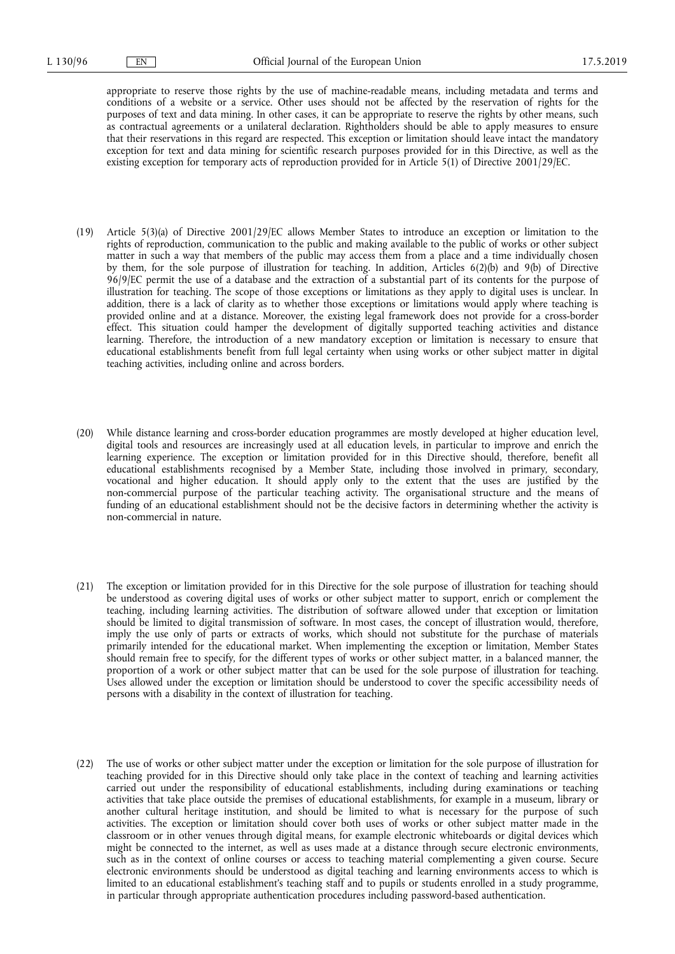appropriate to reserve those rights by the use of machine-readable means, including metadata and terms and conditions of a website or a service. Other uses should not be affected by the reservation of rights for the purposes of text and data mining. In other cases, it can be appropriate to reserve the rights by other means, such as contractual agreements or a unilateral declaration. Rightholders should be able to apply measures to ensure that their reservations in this regard are respected. This exception or limitation should leave intact the mandatory exception for text and data mining for scientific research purposes provided for in this Directive, as well as the existing exception for temporary acts of reproduction provided for in Article 5(1) of Directive 2001/29/EC.

- (19) Article 5(3)(a) of Directive 2001/29/EC allows Member States to introduce an exception or limitation to the rights of reproduction, communication to the public and making available to the public of works or other subject matter in such a way that members of the public may access them from a place and a time individually chosen by them, for the sole purpose of illustration for teaching. In addition, Articles 6(2)(b) and 9(b) of Directive 96/9/EC permit the use of a database and the extraction of a substantial part of its contents for the purpose of illustration for teaching. The scope of those exceptions or limitations as they apply to digital uses is unclear. In addition, there is a lack of clarity as to whether those exceptions or limitations would apply where teaching is provided online and at a distance. Moreover, the existing legal framework does not provide for a cross-border effect. This situation could hamper the development of digitally supported teaching activities and distance learning. Therefore, the introduction of a new mandatory exception or limitation is necessary to ensure that educational establishments benefit from full legal certainty when using works or other subject matter in digital teaching activities, including online and across borders.
- (20) While distance learning and cross-border education programmes are mostly developed at higher education level, digital tools and resources are increasingly used at all education levels, in particular to improve and enrich the learning experience. The exception or limitation provided for in this Directive should, therefore, benefit all educational establishments recognised by a Member State, including those involved in primary, secondary, vocational and higher education. It should apply only to the extent that the uses are justified by the non-commercial purpose of the particular teaching activity. The organisational structure and the means of funding of an educational establishment should not be the decisive factors in determining whether the activity is non-commercial in nature.
- (21) The exception or limitation provided for in this Directive for the sole purpose of illustration for teaching should be understood as covering digital uses of works or other subject matter to support, enrich or complement the teaching, including learning activities. The distribution of software allowed under that exception or limitation should be limited to digital transmission of software. In most cases, the concept of illustration would, therefore, imply the use only of parts or extracts of works, which should not substitute for the purchase of materials primarily intended for the educational market. When implementing the exception or limitation, Member States should remain free to specify, for the different types of works or other subject matter, in a balanced manner, the proportion of a work or other subject matter that can be used for the sole purpose of illustration for teaching. Uses allowed under the exception or limitation should be understood to cover the specific accessibility needs of persons with a disability in the context of illustration for teaching.
- (22) The use of works or other subject matter under the exception or limitation for the sole purpose of illustration for teaching provided for in this Directive should only take place in the context of teaching and learning activities carried out under the responsibility of educational establishments, including during examinations or teaching activities that take place outside the premises of educational establishments, for example in a museum, library or another cultural heritage institution, and should be limited to what is necessary for the purpose of such activities. The exception or limitation should cover both uses of works or other subject matter made in the classroom or in other venues through digital means, for example electronic whiteboards or digital devices which might be connected to the internet, as well as uses made at a distance through secure electronic environments, such as in the context of online courses or access to teaching material complementing a given course. Secure electronic environments should be understood as digital teaching and learning environments access to which is limited to an educational establishment's teaching staff and to pupils or students enrolled in a study programme, in particular through appropriate authentication procedures including password-based authentication.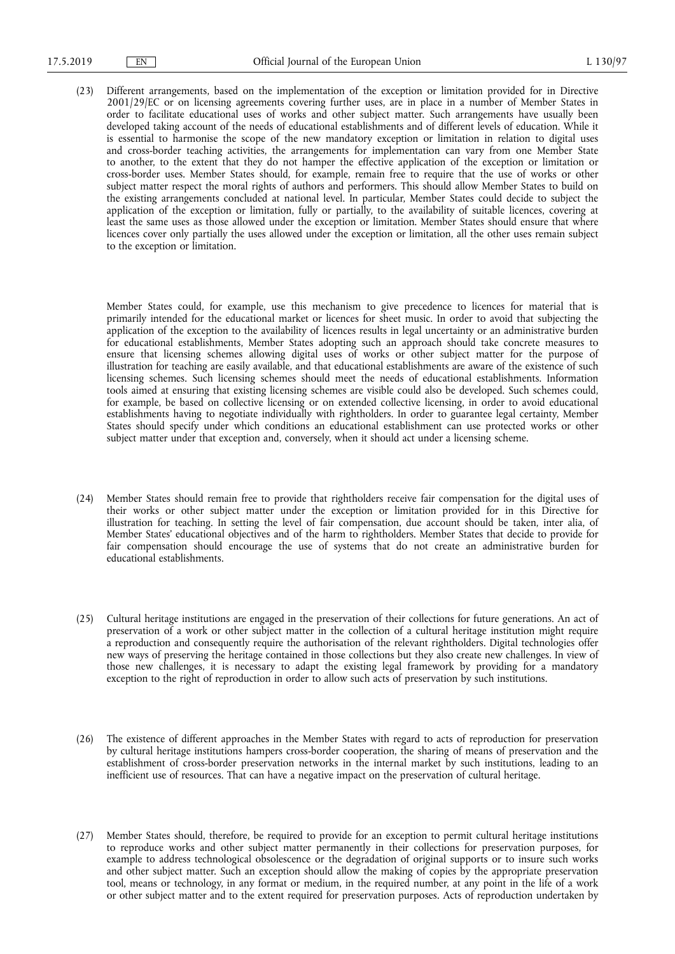(23) Different arrangements, based on the implementation of the exception or limitation provided for in Directive 2001/29/EC or on licensing agreements covering further uses, are in place in a number of Member States in order to facilitate educational uses of works and other subject matter. Such arrangements have usually been developed taking account of the needs of educational establishments and of different levels of education. While it is essential to harmonise the scope of the new mandatory exception or limitation in relation to digital uses and cross-border teaching activities, the arrangements for implementation can vary from one Member State to another, to the extent that they do not hamper the effective application of the exception or limitation or cross-border uses. Member States should, for example, remain free to require that the use of works or other subject matter respect the moral rights of authors and performers. This should allow Member States to build on the existing arrangements concluded at national level. In particular, Member States could decide to subject the application of the exception or limitation, fully or partially, to the availability of suitable licences, covering at least the same uses as those allowed under the exception or limitation. Member States should ensure that where licences cover only partially the uses allowed under the exception or limitation, all the other uses remain subject to the exception or limitation.

Member States could, for example, use this mechanism to give precedence to licences for material that is primarily intended for the educational market or licences for sheet music. In order to avoid that subjecting the application of the exception to the availability of licences results in legal uncertainty or an administrative burden for educational establishments, Member States adopting such an approach should take concrete measures to ensure that licensing schemes allowing digital uses of works or other subject matter for the purpose of illustration for teaching are easily available, and that educational establishments are aware of the existence of such licensing schemes. Such licensing schemes should meet the needs of educational establishments. Information tools aimed at ensuring that existing licensing schemes are visible could also be developed. Such schemes could, for example, be based on collective licensing or on extended collective licensing, in order to avoid educational establishments having to negotiate individually with rightholders. In order to guarantee legal certainty, Member States should specify under which conditions an educational establishment can use protected works or other subject matter under that exception and, conversely, when it should act under a licensing scheme.

- (24) Member States should remain free to provide that rightholders receive fair compensation for the digital uses of their works or other subject matter under the exception or limitation provided for in this Directive for illustration for teaching. In setting the level of fair compensation, due account should be taken, inter alia, of Member States' educational objectives and of the harm to rightholders. Member States that decide to provide for fair compensation should encourage the use of systems that do not create an administrative burden for educational establishments.
- (25) Cultural heritage institutions are engaged in the preservation of their collections for future generations. An act of preservation of a work or other subject matter in the collection of a cultural heritage institution might require a reproduction and consequently require the authorisation of the relevant rightholders. Digital technologies offer new ways of preserving the heritage contained in those collections but they also create new challenges. In view of those new challenges, it is necessary to adapt the existing legal framework by providing for a mandatory exception to the right of reproduction in order to allow such acts of preservation by such institutions.
- (26) The existence of different approaches in the Member States with regard to acts of reproduction for preservation by cultural heritage institutions hampers cross-border cooperation, the sharing of means of preservation and the establishment of cross-border preservation networks in the internal market by such institutions, leading to an inefficient use of resources. That can have a negative impact on the preservation of cultural heritage.
- (27) Member States should, therefore, be required to provide for an exception to permit cultural heritage institutions to reproduce works and other subject matter permanently in their collections for preservation purposes, for example to address technological obsolescence or the degradation of original supports or to insure such works and other subject matter. Such an exception should allow the making of copies by the appropriate preservation tool, means or technology, in any format or medium, in the required number, at any point in the life of a work or other subject matter and to the extent required for preservation purposes. Acts of reproduction undertaken by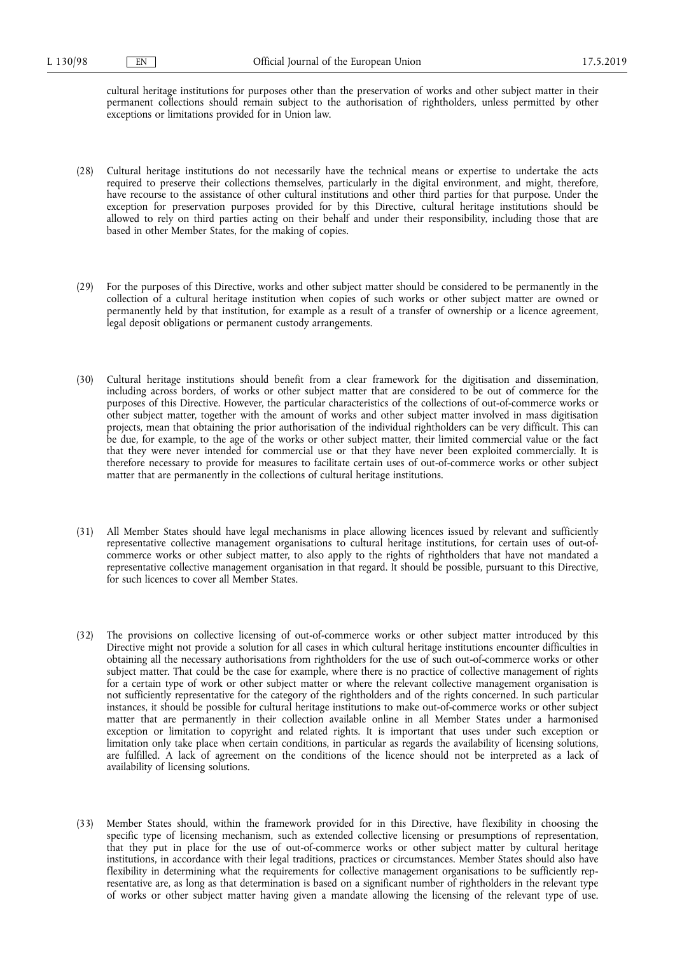cultural heritage institutions for purposes other than the preservation of works and other subject matter in their permanent collections should remain subject to the authorisation of rightholders, unless permitted by other exceptions or limitations provided for in Union law.

- (28) Cultural heritage institutions do not necessarily have the technical means or expertise to undertake the acts required to preserve their collections themselves, particularly in the digital environment, and might, therefore, have recourse to the assistance of other cultural institutions and other third parties for that purpose. Under the exception for preservation purposes provided for by this Directive, cultural heritage institutions should be allowed to rely on third parties acting on their behalf and under their responsibility, including those that are based in other Member States, for the making of copies.
- (29) For the purposes of this Directive, works and other subject matter should be considered to be permanently in the collection of a cultural heritage institution when copies of such works or other subject matter are owned or permanently held by that institution, for example as a result of a transfer of ownership or a licence agreement, legal deposit obligations or permanent custody arrangements.
- (30) Cultural heritage institutions should benefit from a clear framework for the digitisation and dissemination, including across borders, of works or other subject matter that are considered to be out of commerce for the purposes of this Directive. However, the particular characteristics of the collections of out-of-commerce works or other subject matter, together with the amount of works and other subject matter involved in mass digitisation projects, mean that obtaining the prior authorisation of the individual rightholders can be very difficult. This can be due, for example, to the age of the works or other subject matter, their limited commercial value or the fact that they were never intended for commercial use or that they have never been exploited commercially. It is therefore necessary to provide for measures to facilitate certain uses of out-of-commerce works or other subject matter that are permanently in the collections of cultural heritage institutions.
- (31) All Member States should have legal mechanisms in place allowing licences issued by relevant and sufficiently representative collective management organisations to cultural heritage institutions, for certain uses of out-ofcommerce works or other subject matter, to also apply to the rights of rightholders that have not mandated a representative collective management organisation in that regard. It should be possible, pursuant to this Directive, for such licences to cover all Member States.
- (32) The provisions on collective licensing of out-of-commerce works or other subject matter introduced by this Directive might not provide a solution for all cases in which cultural heritage institutions encounter difficulties in obtaining all the necessary authorisations from rightholders for the use of such out-of-commerce works or other subject matter. That could be the case for example, where there is no practice of collective management of rights for a certain type of work or other subject matter or where the relevant collective management organisation is not sufficiently representative for the category of the rightholders and of the rights concerned. In such particular instances, it should be possible for cultural heritage institutions to make out-of-commerce works or other subject matter that are permanently in their collection available online in all Member States under a harmonised exception or limitation to copyright and related rights. It is important that uses under such exception or limitation only take place when certain conditions, in particular as regards the availability of licensing solutions, are fulfilled. A lack of agreement on the conditions of the licence should not be interpreted as a lack of availability of licensing solutions.
- (33) Member States should, within the framework provided for in this Directive, have flexibility in choosing the specific type of licensing mechanism, such as extended collective licensing or presumptions of representation, that they put in place for the use of out-of-commerce works or other subject matter by cultural heritage institutions, in accordance with their legal traditions, practices or circumstances. Member States should also have flexibility in determining what the requirements for collective management organisations to be sufficiently representative are, as long as that determination is based on a significant number of rightholders in the relevant type of works or other subject matter having given a mandate allowing the licensing of the relevant type of use.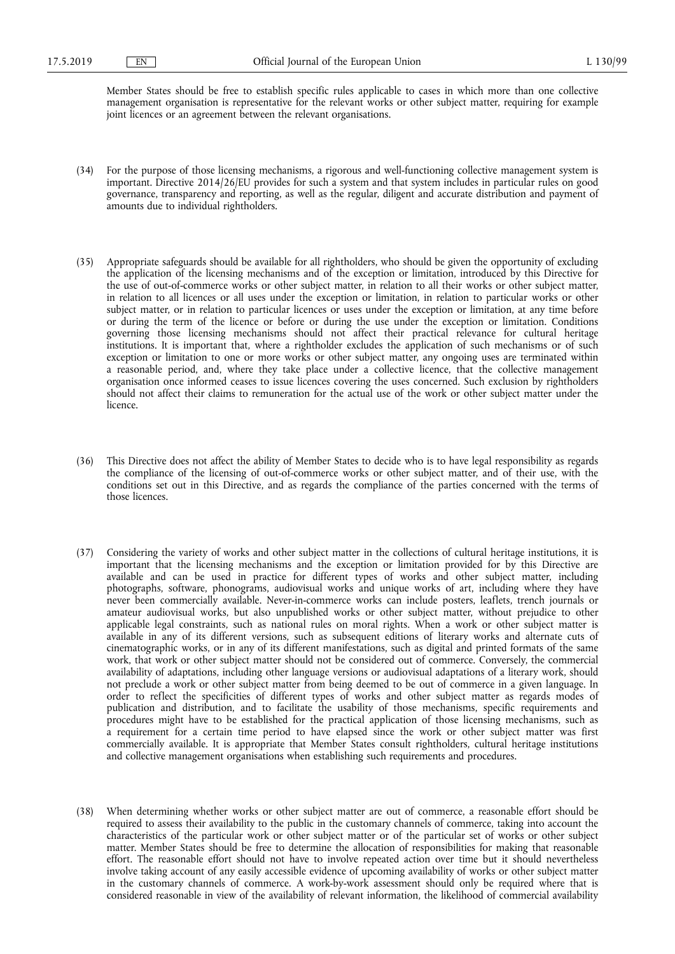Member States should be free to establish specific rules applicable to cases in which more than one collective management organisation is representative for the relevant works or other subject matter, requiring for example joint licences or an agreement between the relevant organisations.

- (34) For the purpose of those licensing mechanisms, a rigorous and well-functioning collective management system is important. Directive 2014/26/EU provides for such a system and that system includes in particular rules on good governance, transparency and reporting, as well as the regular, diligent and accurate distribution and payment of amounts due to individual rightholders.
- (35) Appropriate safeguards should be available for all rightholders, who should be given the opportunity of excluding the application of the licensing mechanisms and of the exception or limitation, introduced by this Directive for the use of out-of-commerce works or other subject matter, in relation to all their works or other subject matter, in relation to all licences or all uses under the exception or limitation, in relation to particular works or other subject matter, or in relation to particular licences or uses under the exception or limitation, at any time before or during the term of the licence or before or during the use under the exception or limitation. Conditions governing those licensing mechanisms should not affect their practical relevance for cultural heritage institutions. It is important that, where a rightholder excludes the application of such mechanisms or of such exception or limitation to one or more works or other subject matter, any ongoing uses are terminated within a reasonable period, and, where they take place under a collective licence, that the collective management organisation once informed ceases to issue licences covering the uses concerned. Such exclusion by rightholders should not affect their claims to remuneration for the actual use of the work or other subject matter under the licence.
- (36) This Directive does not affect the ability of Member States to decide who is to have legal responsibility as regards the compliance of the licensing of out-of-commerce works or other subject matter, and of their use, with the conditions set out in this Directive, and as regards the compliance of the parties concerned with the terms of those licences.
- (37) Considering the variety of works and other subject matter in the collections of cultural heritage institutions, it is important that the licensing mechanisms and the exception or limitation provided for by this Directive are available and can be used in practice for different types of works and other subject matter, including photographs, software, phonograms, audiovisual works and unique works of art, including where they have never been commercially available. Never-in-commerce works can include posters, leaflets, trench journals or amateur audiovisual works, but also unpublished works or other subject matter, without prejudice to other applicable legal constraints, such as national rules on moral rights. When a work or other subject matter is available in any of its different versions, such as subsequent editions of literary works and alternate cuts of cinematographic works, or in any of its different manifestations, such as digital and printed formats of the same work, that work or other subject matter should not be considered out of commerce. Conversely, the commercial availability of adaptations, including other language versions or audiovisual adaptations of a literary work, should not preclude a work or other subject matter from being deemed to be out of commerce in a given language. In order to reflect the specificities of different types of works and other subject matter as regards modes of publication and distribution, and to facilitate the usability of those mechanisms, specific requirements and procedures might have to be established for the practical application of those licensing mechanisms, such as a requirement for a certain time period to have elapsed since the work or other subject matter was first commercially available. It is appropriate that Member States consult rightholders, cultural heritage institutions and collective management organisations when establishing such requirements and procedures.
- (38) When determining whether works or other subject matter are out of commerce, a reasonable effort should be required to assess their availability to the public in the customary channels of commerce, taking into account the characteristics of the particular work or other subject matter or of the particular set of works or other subject matter. Member States should be free to determine the allocation of responsibilities for making that reasonable effort. The reasonable effort should not have to involve repeated action over time but it should nevertheless involve taking account of any easily accessible evidence of upcoming availability of works or other subject matter in the customary channels of commerce. A work-by-work assessment should only be required where that is considered reasonable in view of the availability of relevant information, the likelihood of commercial availability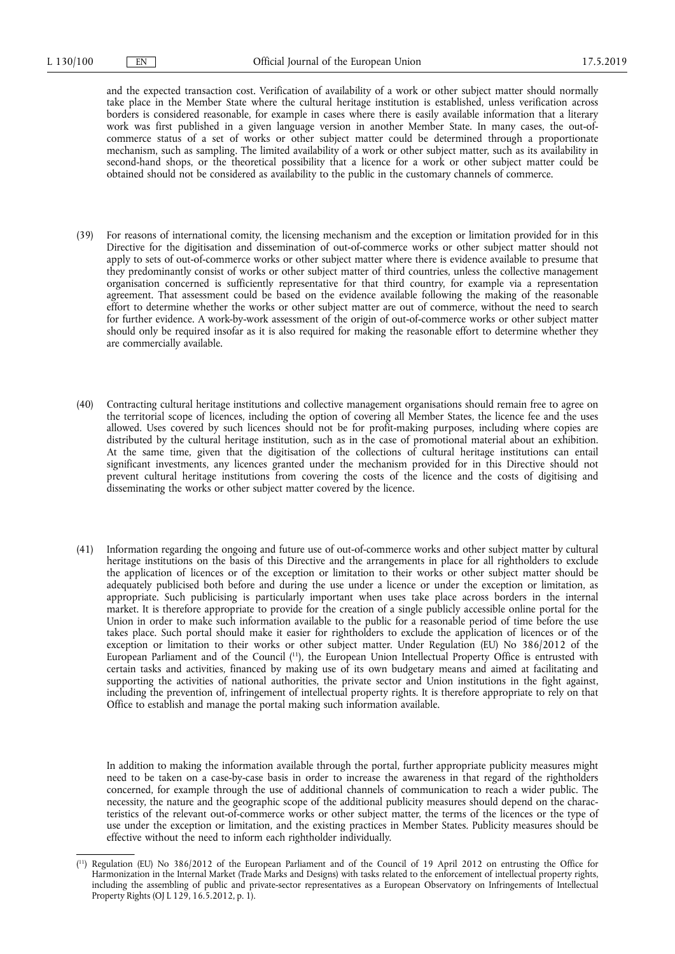and the expected transaction cost. Verification of availability of a work or other subject matter should normally take place in the Member State where the cultural heritage institution is established, unless verification across borders is considered reasonable, for example in cases where there is easily available information that a literary work was first published in a given language version in another Member State. In many cases, the out-ofcommerce status of a set of works or other subject matter could be determined through a proportionate mechanism, such as sampling. The limited availability of a work or other subject matter, such as its availability in second-hand shops, or the theoretical possibility that a licence for a work or other subject matter could be obtained should not be considered as availability to the public in the customary channels of commerce.

- (39) For reasons of international comity, the licensing mechanism and the exception or limitation provided for in this Directive for the digitisation and dissemination of out-of-commerce works or other subject matter should not apply to sets of out-of-commerce works or other subject matter where there is evidence available to presume that they predominantly consist of works or other subject matter of third countries, unless the collective management organisation concerned is sufficiently representative for that third country, for example via a representation agreement. That assessment could be based on the evidence available following the making of the reasonable effort to determine whether the works or other subject matter are out of commerce, without the need to search for further evidence. A work-by-work assessment of the origin of out-of-commerce works or other subject matter should only be required insofar as it is also required for making the reasonable effort to determine whether they are commercially available.
- (40) Contracting cultural heritage institutions and collective management organisations should remain free to agree on the territorial scope of licences, including the option of covering all Member States, the licence fee and the uses allowed. Uses covered by such licences should not be for profit-making purposes, including where copies are distributed by the cultural heritage institution, such as in the case of promotional material about an exhibition. At the same time, given that the digitisation of the collections of cultural heritage institutions can entail significant investments, any licences granted under the mechanism provided for in this Directive should not prevent cultural heritage institutions from covering the costs of the licence and the costs of digitising and disseminating the works or other subject matter covered by the licence.
- (41) Information regarding the ongoing and future use of out-of-commerce works and other subject matter by cultural heritage institutions on the basis of this Directive and the arrangements in place for all rightholders to exclude the application of licences or of the exception or limitation to their works or other subject matter should be adequately publicised both before and during the use under a licence or under the exception or limitation, as appropriate. Such publicising is particularly important when uses take place across borders in the internal market. It is therefore appropriate to provide for the creation of a single publicly accessible online portal for the Union in order to make such information available to the public for a reasonable period of time before the use takes place. Such portal should make it easier for rightholders to exclude the application of licences or of the exception or limitation to their works or other subject matter. Under Regulation (EU) No 386/2012 of the European Parliament and of the Council ( 11), the European Union Intellectual Property Office is entrusted with certain tasks and activities, financed by making use of its own budgetary means and aimed at facilitating and supporting the activities of national authorities, the private sector and Union institutions in the fight against, including the prevention of, infringement of intellectual property rights. It is therefore appropriate to rely on that Office to establish and manage the portal making such information available.

In addition to making the information available through the portal, further appropriate publicity measures might need to be taken on a case-by-case basis in order to increase the awareness in that regard of the rightholders concerned, for example through the use of additional channels of communication to reach a wider public. The necessity, the nature and the geographic scope of the additional publicity measures should depend on the characteristics of the relevant out-of-commerce works or other subject matter, the terms of the licences or the type of use under the exception or limitation, and the existing practices in Member States. Publicity measures should be effective without the need to inform each rightholder individually.

<sup>(</sup> 11) Regulation (EU) No 386/2012 of the European Parliament and of the Council of 19 April 2012 on entrusting the Office for Harmonization in the Internal Market (Trade Marks and Designs) with tasks related to the enforcement of intellectual property rights, including the assembling of public and private-sector representatives as a European Observatory on Infringements of Intellectual Property Rights (OJ L 129, 16.5.2012, p. 1).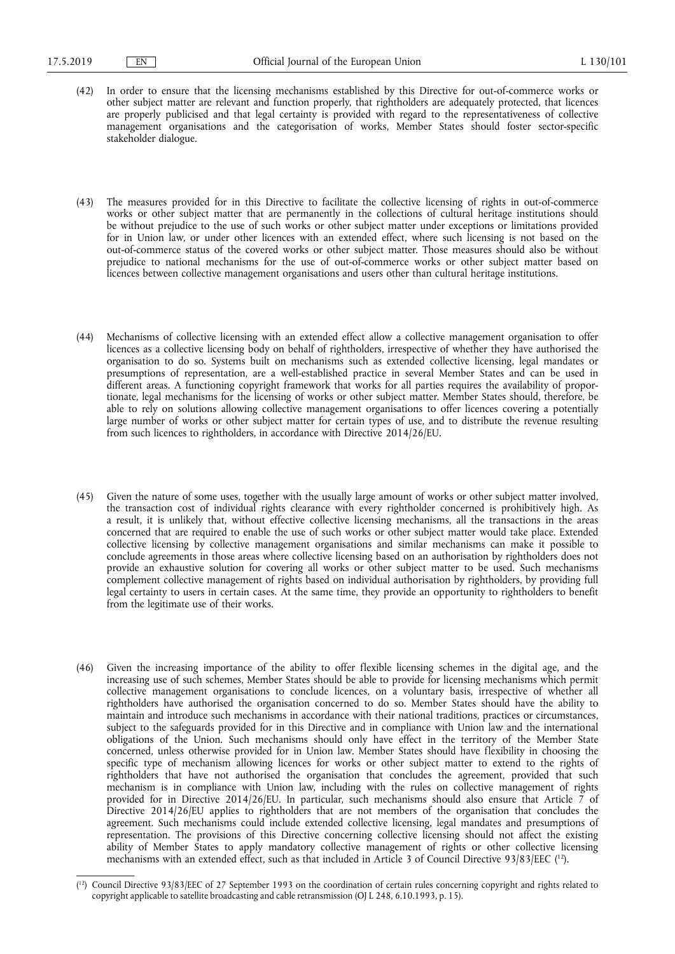- (42) In order to ensure that the licensing mechanisms established by this Directive for out-of-commerce works or other subject matter are relevant and function properly, that rightholders are adequately protected, that licences are properly publicised and that legal certainty is provided with regard to the representativeness of collective management organisations and the categorisation of works, Member States should foster sector-specific stakeholder dialogue.
- (43) The measures provided for in this Directive to facilitate the collective licensing of rights in out-of-commerce works or other subject matter that are permanently in the collections of cultural heritage institutions should be without prejudice to the use of such works or other subject matter under exceptions or limitations provided for in Union law, or under other licences with an extended effect, where such licensing is not based on the out-of-commerce status of the covered works or other subject matter. Those measures should also be without prejudice to national mechanisms for the use of out-of-commerce works or other subject matter based on licences between collective management organisations and users other than cultural heritage institutions.
- (44) Mechanisms of collective licensing with an extended effect allow a collective management organisation to offer licences as a collective licensing body on behalf of rightholders, irrespective of whether they have authorised the organisation to do so. Systems built on mechanisms such as extended collective licensing, legal mandates or presumptions of representation, are a well-established practice in several Member States and can be used in different areas. A functioning copyright framework that works for all parties requires the availability of proportionate, legal mechanisms for the licensing of works or other subject matter. Member States should, therefore, be able to rely on solutions allowing collective management organisations to offer licences covering a potentially large number of works or other subject matter for certain types of use, and to distribute the revenue resulting from such licences to rightholders, in accordance with Directive 2014/26/EU.
- (45) Given the nature of some uses, together with the usually large amount of works or other subject matter involved, the transaction cost of individual rights clearance with every rightholder concerned is prohibitively high. As a result, it is unlikely that, without effective collective licensing mechanisms, all the transactions in the areas concerned that are required to enable the use of such works or other subject matter would take place. Extended collective licensing by collective management organisations and similar mechanisms can make it possible to conclude agreements in those areas where collective licensing based on an authorisation by rightholders does not provide an exhaustive solution for covering all works or other subject matter to be used. Such mechanisms complement collective management of rights based on individual authorisation by rightholders, by providing full legal certainty to users in certain cases. At the same time, they provide an opportunity to rightholders to benefit from the legitimate use of their works.
- (46) Given the increasing importance of the ability to offer flexible licensing schemes in the digital age, and the increasing use of such schemes, Member States should be able to provide for licensing mechanisms which permit collective management organisations to conclude licences, on a voluntary basis, irrespective of whether all rightholders have authorised the organisation concerned to do so. Member States should have the ability to maintain and introduce such mechanisms in accordance with their national traditions, practices or circumstances, subject to the safeguards provided for in this Directive and in compliance with Union law and the international obligations of the Union. Such mechanisms should only have effect in the territory of the Member State concerned, unless otherwise provided for in Union law. Member States should have flexibility in choosing the specific type of mechanism allowing licences for works or other subject matter to extend to the rights of rightholders that have not authorised the organisation that concludes the agreement, provided that such mechanism is in compliance with Union law, including with the rules on collective management of rights provided for in Directive 2014/26/EU. In particular, such mechanisms should also ensure that Article 7 of Directive 2014/26/EU applies to rightholders that are not members of the organisation that concludes the agreement. Such mechanisms could include extended collective licensing, legal mandates and presumptions of representation. The provisions of this Directive concerning collective licensing should not affect the existing ability of Member States to apply mandatory collective management of rights or other collective licensing mechanisms with an extended effect, such as that included in Article 3 of Council Directive 93/83/EEC ( 12).

<sup>(</sup> 12) Council Directive 93/83/EEC of 27 September 1993 on the coordination of certain rules concerning copyright and rights related to copyright applicable to satellite broadcasting and cable retransmission (OJ L 248, 6.10.1993, p. 15).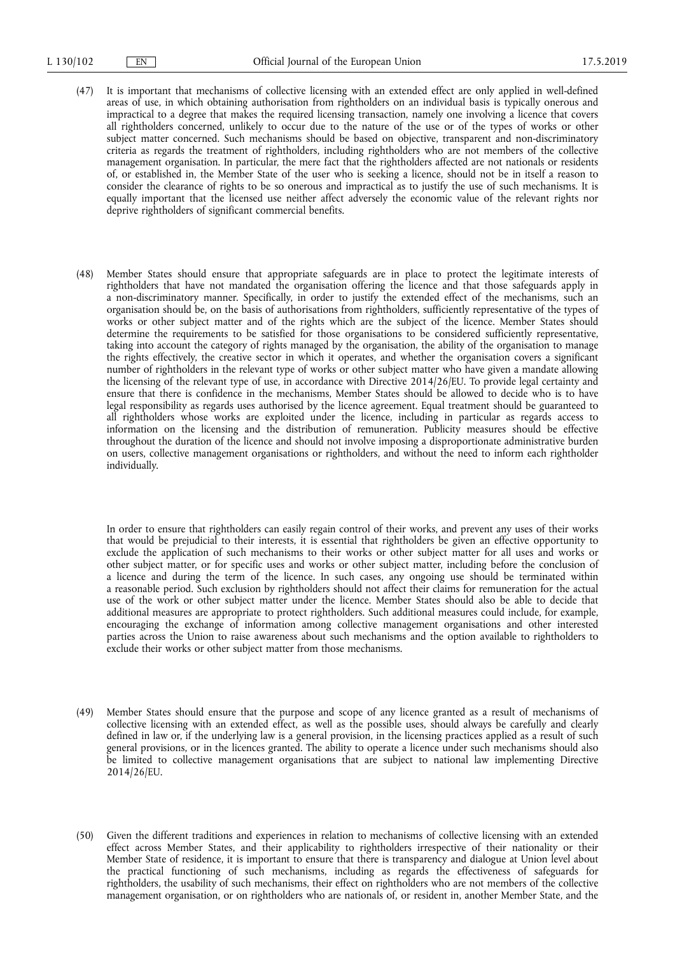- (47) It is important that mechanisms of collective licensing with an extended effect are only applied in well-defined areas of use, in which obtaining authorisation from rightholders on an individual basis is typically onerous and impractical to a degree that makes the required licensing transaction, namely one involving a licence that covers all rightholders concerned, unlikely to occur due to the nature of the use or of the types of works or other subject matter concerned. Such mechanisms should be based on objective, transparent and non-discriminatory criteria as regards the treatment of rightholders, including rightholders who are not members of the collective management organisation. In particular, the mere fact that the rightholders affected are not nationals or residents of, or established in, the Member State of the user who is seeking a licence, should not be in itself a reason to consider the clearance of rights to be so onerous and impractical as to justify the use of such mechanisms. It is equally important that the licensed use neither affect adversely the economic value of the relevant rights nor deprive rightholders of significant commercial benefits.
- (48) Member States should ensure that appropriate safeguards are in place to protect the legitimate interests of rightholders that have not mandated the organisation offering the licence and that those safeguards apply in a non-discriminatory manner. Specifically, in order to justify the extended effect of the mechanisms, such an organisation should be, on the basis of authorisations from rightholders, sufficiently representative of the types of works or other subject matter and of the rights which are the subject of the licence. Member States should determine the requirements to be satisfied for those organisations to be considered sufficiently representative, taking into account the category of rights managed by the organisation, the ability of the organisation to manage the rights effectively, the creative sector in which it operates, and whether the organisation covers a significant number of rightholders in the relevant type of works or other subject matter who have given a mandate allowing the licensing of the relevant type of use, in accordance with Directive 2014/26/EU. To provide legal certainty and ensure that there is confidence in the mechanisms, Member States should be allowed to decide who is to have legal responsibility as regards uses authorised by the licence agreement. Equal treatment should be guaranteed to all rightholders whose works are exploited under the licence, including in particular as regards access to information on the licensing and the distribution of remuneration. Publicity measures should be effective throughout the duration of the licence and should not involve imposing a disproportionate administrative burden on users, collective management organisations or rightholders, and without the need to inform each rightholder individually.

In order to ensure that rightholders can easily regain control of their works, and prevent any uses of their works that would be prejudicial to their interests, it is essential that rightholders be given an effective opportunity to exclude the application of such mechanisms to their works or other subject matter for all uses and works or other subject matter, or for specific uses and works or other subject matter, including before the conclusion of a licence and during the term of the licence. In such cases, any ongoing use should be terminated within a reasonable period. Such exclusion by rightholders should not affect their claims for remuneration for the actual use of the work or other subject matter under the licence. Member States should also be able to decide that additional measures are appropriate to protect rightholders. Such additional measures could include, for example, encouraging the exchange of information among collective management organisations and other interested parties across the Union to raise awareness about such mechanisms and the option available to rightholders to exclude their works or other subject matter from those mechanisms.

- (49) Member States should ensure that the purpose and scope of any licence granted as a result of mechanisms of collective licensing with an extended effect, as well as the possible uses, should always be carefully and clearly defined in law or, if the underlying law is a general provision, in the licensing practices applied as a result of such general provisions, or in the licences granted. The ability to operate a licence under such mechanisms should also be limited to collective management organisations that are subject to national law implementing Directive 2014/26/EU.
- (50) Given the different traditions and experiences in relation to mechanisms of collective licensing with an extended effect across Member States, and their applicability to rightholders irrespective of their nationality or their Member State of residence, it is important to ensure that there is transparency and dialogue at Union level about the practical functioning of such mechanisms, including as regards the effectiveness of safeguards for rightholders, the usability of such mechanisms, their effect on rightholders who are not members of the collective management organisation, or on rightholders who are nationals of, or resident in, another Member State, and the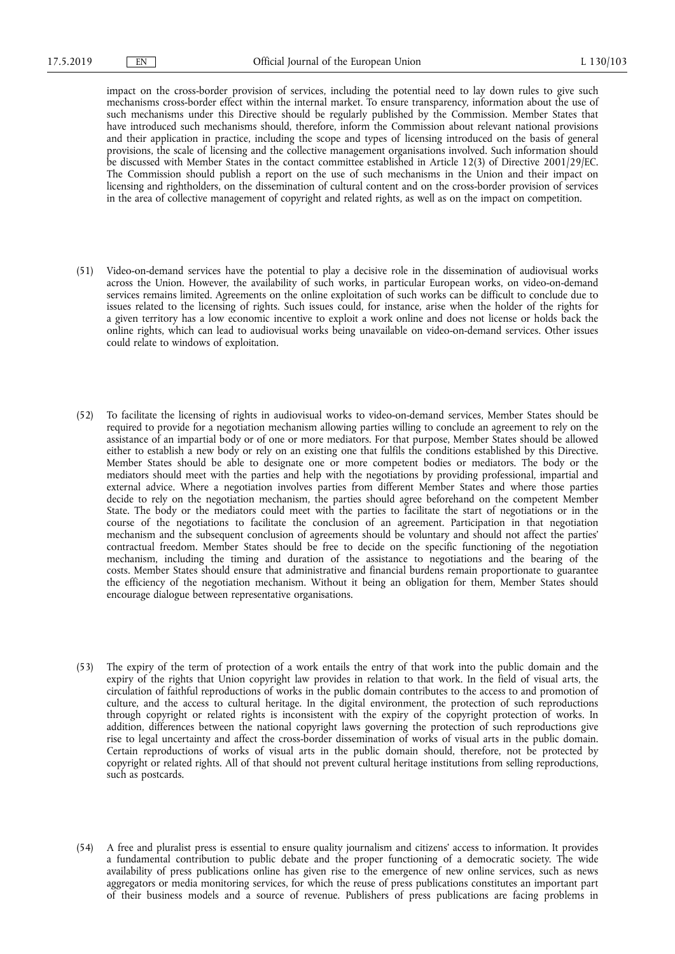impact on the cross-border provision of services, including the potential need to lay down rules to give such mechanisms cross-border effect within the internal market. To ensure transparency, information about the use of such mechanisms under this Directive should be regularly published by the Commission. Member States that have introduced such mechanisms should, therefore, inform the Commission about relevant national provisions and their application in practice, including the scope and types of licensing introduced on the basis of general provisions, the scale of licensing and the collective management organisations involved. Such information should be discussed with Member States in the contact committee established in Article 12(3) of Directive 2001/29/EC. The Commission should publish a report on the use of such mechanisms in the Union and their impact on licensing and rightholders, on the dissemination of cultural content and on the cross-border provision of services in the area of collective management of copyright and related rights, as well as on the impact on competition.

- (51) Video-on-demand services have the potential to play a decisive role in the dissemination of audiovisual works across the Union. However, the availability of such works, in particular European works, on video-on-demand services remains limited. Agreements on the online exploitation of such works can be difficult to conclude due to issues related to the licensing of rights. Such issues could, for instance, arise when the holder of the rights for a given territory has a low economic incentive to exploit a work online and does not license or holds back the online rights, which can lead to audiovisual works being unavailable on video-on-demand services. Other issues could relate to windows of exploitation.
- (52) To facilitate the licensing of rights in audiovisual works to video-on-demand services, Member States should be required to provide for a negotiation mechanism allowing parties willing to conclude an agreement to rely on the assistance of an impartial body or of one or more mediators. For that purpose, Member States should be allowed either to establish a new body or rely on an existing one that fulfils the conditions established by this Directive. Member States should be able to designate one or more competent bodies or mediators. The body or the mediators should meet with the parties and help with the negotiations by providing professional, impartial and external advice. Where a negotiation involves parties from different Member States and where those parties decide to rely on the negotiation mechanism, the parties should agree beforehand on the competent Member State. The body or the mediators could meet with the parties to facilitate the start of negotiations or in the course of the negotiations to facilitate the conclusion of an agreement. Participation in that negotiation mechanism and the subsequent conclusion of agreements should be voluntary and should not affect the parties' contractual freedom. Member States should be free to decide on the specific functioning of the negotiation mechanism, including the timing and duration of the assistance to negotiations and the bearing of the costs. Member States should ensure that administrative and financial burdens remain proportionate to guarantee the efficiency of the negotiation mechanism. Without it being an obligation for them, Member States should encourage dialogue between representative organisations.
- (53) The expiry of the term of protection of a work entails the entry of that work into the public domain and the expiry of the rights that Union copyright law provides in relation to that work. In the field of visual arts, the circulation of faithful reproductions of works in the public domain contributes to the access to and promotion of culture, and the access to cultural heritage. In the digital environment, the protection of such reproductions through copyright or related rights is inconsistent with the expiry of the copyright protection of works. In addition, differences between the national copyright laws governing the protection of such reproductions give rise to legal uncertainty and affect the cross-border dissemination of works of visual arts in the public domain. Certain reproductions of works of visual arts in the public domain should, therefore, not be protected by copyright or related rights. All of that should not prevent cultural heritage institutions from selling reproductions, such as postcards.
- (54) A free and pluralist press is essential to ensure quality journalism and citizens' access to information. It provides a fundamental contribution to public debate and the proper functioning of a democratic society. The wide availability of press publications online has given rise to the emergence of new online services, such as news aggregators or media monitoring services, for which the reuse of press publications constitutes an important part of their business models and a source of revenue. Publishers of press publications are facing problems in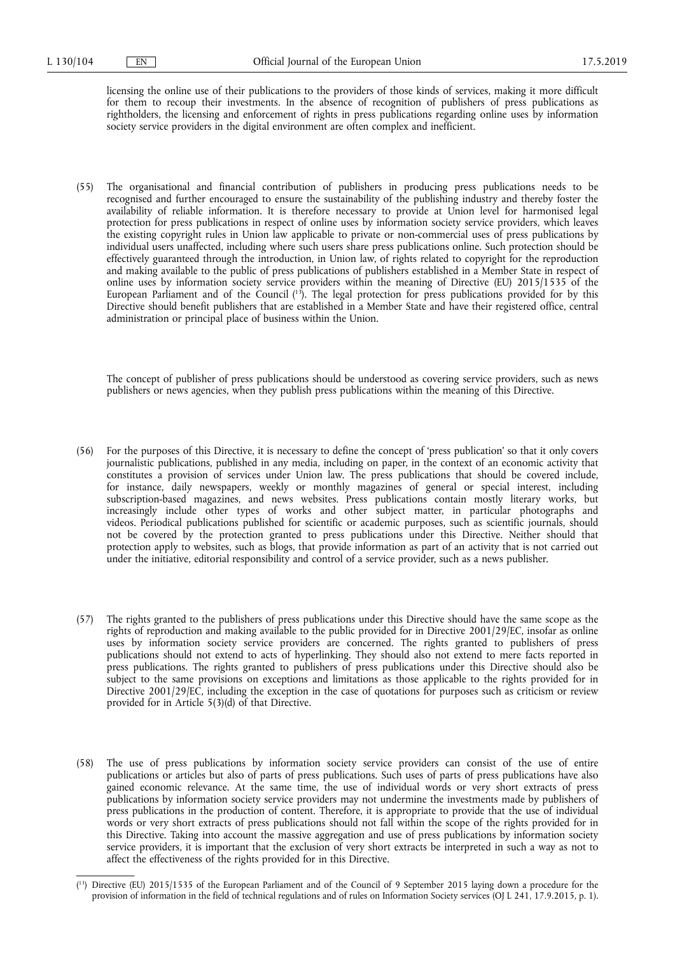licensing the online use of their publications to the providers of those kinds of services, making it more difficult for them to recoup their investments. In the absence of recognition of publishers of press publications as rightholders, the licensing and enforcement of rights in press publications regarding online uses by information society service providers in the digital environment are often complex and inefficient.

(55) The organisational and financial contribution of publishers in producing press publications needs to be recognised and further encouraged to ensure the sustainability of the publishing industry and thereby foster the availability of reliable information. It is therefore necessary to provide at Union level for harmonised legal protection for press publications in respect of online uses by information society service providers, which leaves the existing copyright rules in Union law applicable to private or non-commercial uses of press publications by individual users unaffected, including where such users share press publications online. Such protection should be effectively guaranteed through the introduction, in Union law, of rights related to copyright for the reproduction and making available to the public of press publications of publishers established in a Member State in respect of online uses by information society service providers within the meaning of Directive (EU) 2015/1535 of the European Parliament and of the Council ( 13). The legal protection for press publications provided for by this Directive should benefit publishers that are established in a Member State and have their registered office, central administration or principal place of business within the Union.

The concept of publisher of press publications should be understood as covering service providers, such as news publishers or news agencies, when they publish press publications within the meaning of this Directive.

- (56) For the purposes of this Directive, it is necessary to define the concept of 'press publication' so that it only covers journalistic publications, published in any media, including on paper, in the context of an economic activity that constitutes a provision of services under Union law. The press publications that should be covered include, for instance, daily newspapers, weekly or monthly magazines of general or special interest, including subscription-based magazines, and news websites. Press publications contain mostly literary works, but increasingly include other types of works and other subject matter, in particular photographs and videos. Periodical publications published for scientific or academic purposes, such as scientific journals, should not be covered by the protection granted to press publications under this Directive. Neither should that protection apply to websites, such as blogs, that provide information as part of an activity that is not carried out under the initiative, editorial responsibility and control of a service provider, such as a news publisher.
- (57) The rights granted to the publishers of press publications under this Directive should have the same scope as the rights of reproduction and making available to the public provided for in Directive 2001/29/EC, insofar as online uses by information society service providers are concerned. The rights granted to publishers of press publications should not extend to acts of hyperlinking. They should also not extend to mere facts reported in press publications. The rights granted to publishers of press publications under this Directive should also be subject to the same provisions on exceptions and limitations as those applicable to the rights provided for in Directive 2001/29/EC, including the exception in the case of quotations for purposes such as criticism or review provided for in Article 5(3)(d) of that Directive.
- (58) The use of press publications by information society service providers can consist of the use of entire publications or articles but also of parts of press publications. Such uses of parts of press publications have also gained economic relevance. At the same time, the use of individual words or very short extracts of press publications by information society service providers may not undermine the investments made by publishers of press publications in the production of content. Therefore, it is appropriate to provide that the use of individual words or very short extracts of press publications should not fall within the scope of the rights provided for in this Directive. Taking into account the massive aggregation and use of press publications by information society service providers, it is important that the exclusion of very short extracts be interpreted in such a way as not to affect the effectiveness of the rights provided for in this Directive.

<sup>(</sup> 13) Directive (EU) 2015/1535 of the European Parliament and of the Council of 9 September 2015 laying down a procedure for the provision of information in the field of technical regulations and of rules on Information Society services (OJ L 241, 17.9.2015, p. 1).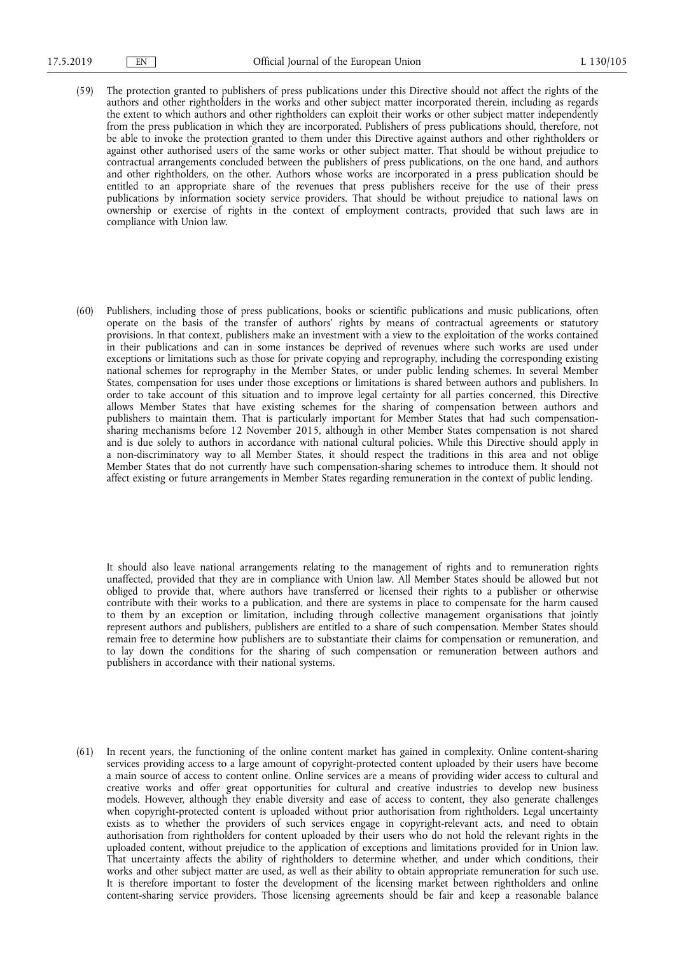- (59) The protection granted to publishers of press publications under this Directive should not affect the rights of the authors and other rightholders in the works and other subject matter incorporated therein, including as regards the extent to which authors and other rightholders can exploit their works or other subject matter independently from the press publication in which they are incorporated. Publishers of press publications should, therefore, not be able to invoke the protection granted to them under this Directive against authors and other rightholders or against other authorised users of the same works or other subject matter. That should be without prejudice to contractual arrangements concluded between the publishers of press publications, on the one hand, and authors and other rightholders, on the other. Authors whose works are incorporated in a press publication should be entitled to an appropriate share of the revenues that press publishers receive for the use of their press publications by information society service providers. That should be without prejudice to national laws on ownership or exercise of rights in the context of employment contracts, provided that such laws are in compliance with Union law.
- (60) Publishers, including those of press publications, books or scientific publications and music publications, often operate on the basis of the transfer of authors' rights by means of contractual agreements or statutory provisions. In that context, publishers make an investment with a view to the exploitation of the works contained in their publications and can in some instances be deprived of revenues where such works are used under exceptions or limitations such as those for private copying and reprography, including the corresponding existing national schemes for reprography in the Member States, or under public lending schemes. In several Member States, compensation for uses under those exceptions or limitations is shared between authors and publishers. In order to take account of this situation and to improve legal certainty for all parties concerned, this Directive allows Member States that have existing schemes for the sharing of compensation between authors and publishers to maintain them. That is particularly important for Member States that had such compensationsharing mechanisms before 12 November 2015, although in other Member States compensation is not shared and is due solely to authors in accordance with national cultural policies. While this Directive should apply in a non-discriminatory way to all Member States, it should respect the traditions in this area and not oblige Member States that do not currently have such compensation-sharing schemes to introduce them. It should not affect existing or future arrangements in Member States regarding remuneration in the context of public lending.

It should also leave national arrangements relating to the management of rights and to remuneration rights unaffected, provided that they are in compliance with Union law. All Member States should be allowed but not obliged to provide that, where authors have transferred or licensed their rights to a publisher or otherwise contribute with their works to a publication, and there are systems in place to compensate for the harm caused to them by an exception or limitation, including through collective management organisations that jointly represent authors and publishers, publishers are entitled to a share of such compensation. Member States should remain free to determine how publishers are to substantiate their claims for compensation or remuneration, and to lay down the conditions for the sharing of such compensation or remuneration between authors and publishers in accordance with their national systems.

(61) In recent years, the functioning of the online content market has gained in complexity. Online content-sharing services providing access to a large amount of copyright-protected content uploaded by their users have become a main source of access to content online. Online services are a means of providing wider access to cultural and creative works and offer great opportunities for cultural and creative industries to develop new business models. However, although they enable diversity and ease of access to content, they also generate challenges when copyright-protected content is uploaded without prior authorisation from rightholders. Legal uncertainty exists as to whether the providers of such services engage in copyright-relevant acts, and need to obtain authorisation from rightholders for content uploaded by their users who do not hold the relevant rights in the uploaded content, without prejudice to the application of exceptions and limitations provided for in Union law. That uncertainty affects the ability of rightholders to determine whether, and under which conditions, their works and other subject matter are used, as well as their ability to obtain appropriate remuneration for such use. It is therefore important to foster the development of the licensing market between rightholders and online content-sharing service providers. Those licensing agreements should be fair and keep a reasonable balance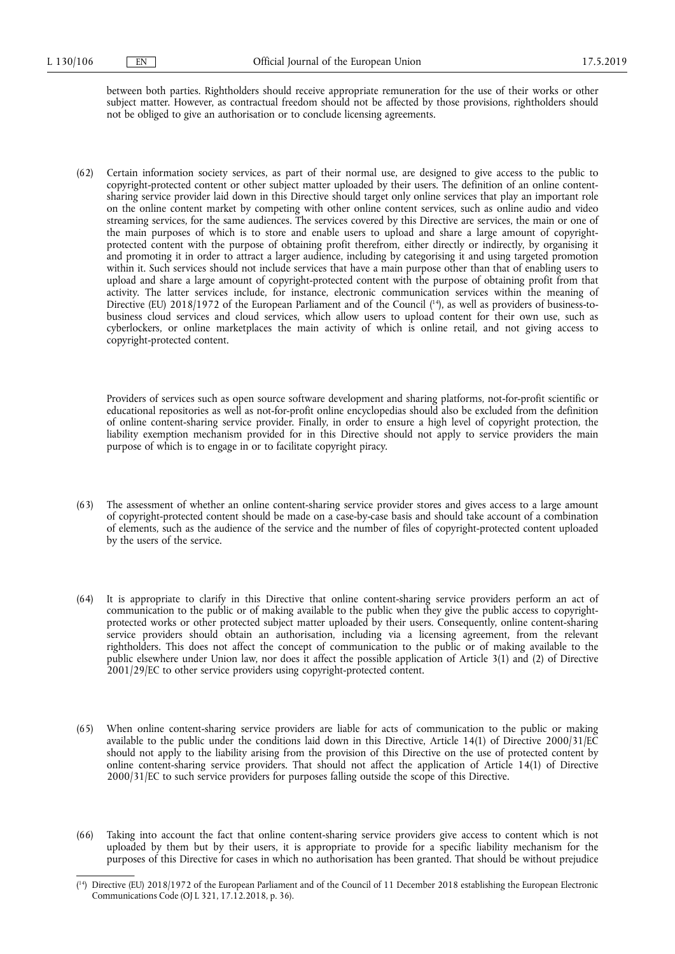between both parties. Rightholders should receive appropriate remuneration for the use of their works or other subject matter. However, as contractual freedom should not be affected by those provisions, rightholders should not be obliged to give an authorisation or to conclude licensing agreements.

(62) Certain information society services, as part of their normal use, are designed to give access to the public to copyright-protected content or other subject matter uploaded by their users. The definition of an online contentsharing service provider laid down in this Directive should target only online services that play an important role on the online content market by competing with other online content services, such as online audio and video streaming services, for the same audiences. The services covered by this Directive are services, the main or one of the main purposes of which is to store and enable users to upload and share a large amount of copyrightprotected content with the purpose of obtaining profit therefrom, either directly or indirectly, by organising it and promoting it in order to attract a larger audience, including by categorising it and using targeted promotion within it. Such services should not include services that have a main purpose other than that of enabling users to upload and share a large amount of copyright-protected content with the purpose of obtaining profit from that activity. The latter services include, for instance, electronic communication services within the meaning of Directive (EU) 2018/1972 of the European Parliament and of the Council (14), as well as providers of business-tobusiness cloud services and cloud services, which allow users to upload content for their own use, such as cyberlockers, or online marketplaces the main activity of which is online retail, and not giving access to copyright-protected content.

Providers of services such as open source software development and sharing platforms, not-for-profit scientific or educational repositories as well as not-for-profit online encyclopedias should also be excluded from the definition of online content-sharing service provider. Finally, in order to ensure a high level of copyright protection, the liability exemption mechanism provided for in this Directive should not apply to service providers the main purpose of which is to engage in or to facilitate copyright piracy.

- (63) The assessment of whether an online content-sharing service provider stores and gives access to a large amount of copyright-protected content should be made on a case-by-case basis and should take account of a combination of elements, such as the audience of the service and the number of files of copyright-protected content uploaded by the users of the service.
- (64) It is appropriate to clarify in this Directive that online content-sharing service providers perform an act of communication to the public or of making available to the public when they give the public access to copyrightprotected works or other protected subject matter uploaded by their users. Consequently, online content-sharing service providers should obtain an authorisation, including via a licensing agreement, from the relevant rightholders. This does not affect the concept of communication to the public or of making available to the public elsewhere under Union law, nor does it affect the possible application of Article 3(1) and (2) of Directive 2001/29/EC to other service providers using copyright-protected content.
- (65) When online content-sharing service providers are liable for acts of communication to the public or making available to the public under the conditions laid down in this Directive, Article 14(1) of Directive 2000/31/EC should not apply to the liability arising from the provision of this Directive on the use of protected content by online content-sharing service providers. That should not affect the application of Article 14(1) of Directive 2000/31/EC to such service providers for purposes falling outside the scope of this Directive.
- (66) Taking into account the fact that online content-sharing service providers give access to content which is not uploaded by them but by their users, it is appropriate to provide for a specific liability mechanism for the purposes of this Directive for cases in which no authorisation has been granted. That should be without prejudice

<sup>(</sup> 14) Directive (EU) 2018/1972 of the European Parliament and of the Council of 11 December 2018 establishing the European Electronic Communications Code (OJ L 321, 17.12.2018, p. 36).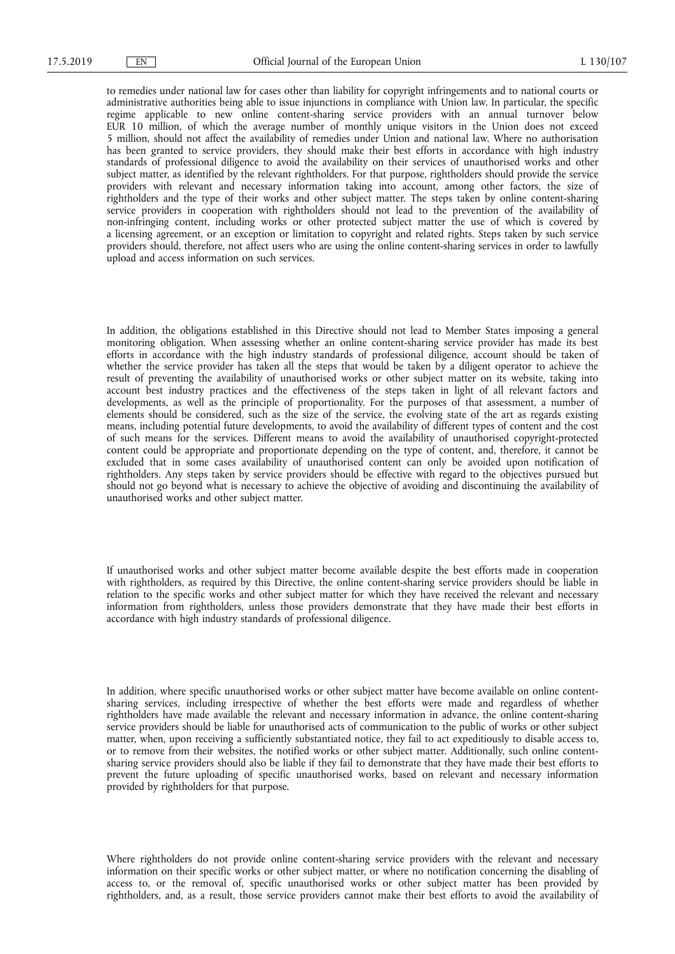to remedies under national law for cases other than liability for copyright infringements and to national courts or administrative authorities being able to issue injunctions in compliance with Union law. In particular, the specific regime applicable to new online content-sharing service providers with an annual turnover below EUR 10 million, of which the average number of monthly unique visitors in the Union does not exceed 5 million, should not affect the availability of remedies under Union and national law. Where no authorisation has been granted to service providers, they should make their best efforts in accordance with high industry standards of professional diligence to avoid the availability on their services of unauthorised works and other subject matter, as identified by the relevant rightholders. For that purpose, rightholders should provide the service providers with relevant and necessary information taking into account, among other factors, the size of rightholders and the type of their works and other subject matter. The steps taken by online content-sharing service providers in cooperation with rightholders should not lead to the prevention of the availability of non-infringing content, including works or other protected subject matter the use of which is covered by a licensing agreement, or an exception or limitation to copyright and related rights. Steps taken by such service providers should, therefore, not affect users who are using the online content-sharing services in order to lawfully upload and access information on such services.

In addition, the obligations established in this Directive should not lead to Member States imposing a general monitoring obligation. When assessing whether an online content-sharing service provider has made its best efforts in accordance with the high industry standards of professional diligence, account should be taken of whether the service provider has taken all the steps that would be taken by a diligent operator to achieve the result of preventing the availability of unauthorised works or other subject matter on its website, taking into account best industry practices and the effectiveness of the steps taken in light of all relevant factors and developments, as well as the principle of proportionality. For the purposes of that assessment, a number of elements should be considered, such as the size of the service, the evolving state of the art as regards existing means, including potential future developments, to avoid the availability of different types of content and the cost of such means for the services. Different means to avoid the availability of unauthorised copyright-protected content could be appropriate and proportionate depending on the type of content, and, therefore, it cannot be excluded that in some cases availability of unauthorised content can only be avoided upon notification of rightholders. Any steps taken by service providers should be effective with regard to the objectives pursued but should not go beyond what is necessary to achieve the objective of avoiding and discontinuing the availability of unauthorised works and other subject matter.

If unauthorised works and other subject matter become available despite the best efforts made in cooperation with rightholders, as required by this Directive, the online content-sharing service providers should be liable in relation to the specific works and other subject matter for which they have received the relevant and necessary information from rightholders, unless those providers demonstrate that they have made their best efforts in accordance with high industry standards of professional diligence.

In addition, where specific unauthorised works or other subject matter have become available on online contentsharing services, including irrespective of whether the best efforts were made and regardless of whether rightholders have made available the relevant and necessary information in advance, the online content-sharing service providers should be liable for unauthorised acts of communication to the public of works or other subject matter, when, upon receiving a sufficiently substantiated notice, they fail to act expeditiously to disable access to, or to remove from their websites, the notified works or other subject matter. Additionally, such online contentsharing service providers should also be liable if they fail to demonstrate that they have made their best efforts to prevent the future uploading of specific unauthorised works, based on relevant and necessary information provided by rightholders for that purpose.

Where rightholders do not provide online content-sharing service providers with the relevant and necessary information on their specific works or other subject matter, or where no notification concerning the disabling of access to, or the removal of, specific unauthorised works or other subject matter has been provided by rightholders, and, as a result, those service providers cannot make their best efforts to avoid the availability of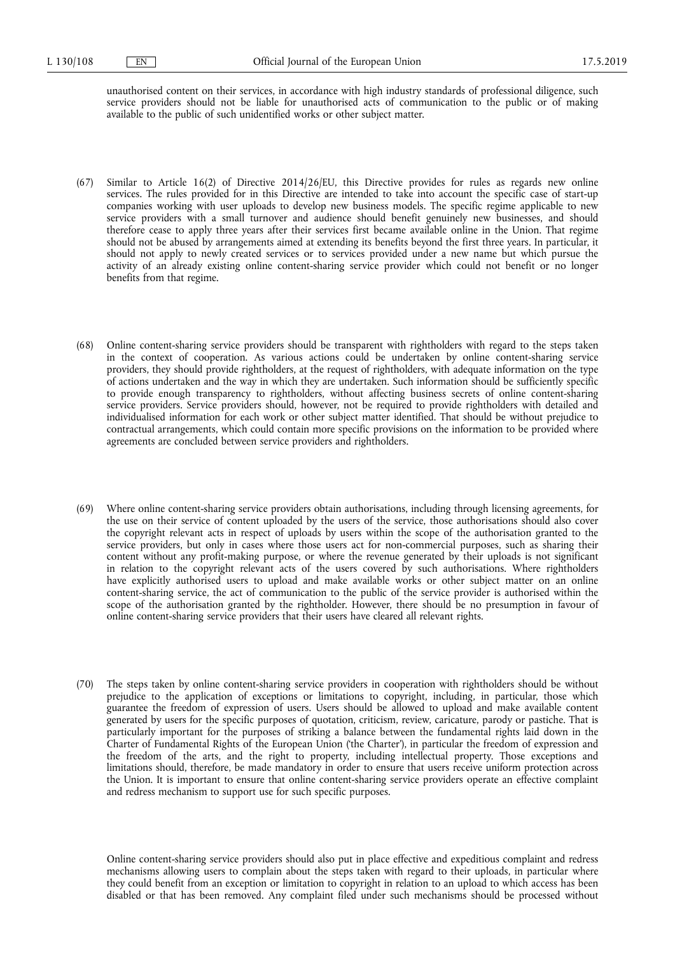unauthorised content on their services, in accordance with high industry standards of professional diligence, such service providers should not be liable for unauthorised acts of communication to the public or of making available to the public of such unidentified works or other subject matter.

- (67) Similar to Article 16(2) of Directive 2014/26/EU, this Directive provides for rules as regards new online services. The rules provided for in this Directive are intended to take into account the specific case of start-up companies working with user uploads to develop new business models. The specific regime applicable to new service providers with a small turnover and audience should benefit genuinely new businesses, and should therefore cease to apply three years after their services first became available online in the Union. That regime should not be abused by arrangements aimed at extending its benefits beyond the first three years. In particular, it should not apply to newly created services or to services provided under a new name but which pursue the activity of an already existing online content-sharing service provider which could not benefit or no longer benefits from that regime.
- (68) Online content-sharing service providers should be transparent with rightholders with regard to the steps taken in the context of cooperation. As various actions could be undertaken by online content-sharing service providers, they should provide rightholders, at the request of rightholders, with adequate information on the type of actions undertaken and the way in which they are undertaken. Such information should be sufficiently specific to provide enough transparency to rightholders, without affecting business secrets of online content-sharing service providers. Service providers should, however, not be required to provide rightholders with detailed and individualised information for each work or other subject matter identified. That should be without prejudice to contractual arrangements, which could contain more specific provisions on the information to be provided where agreements are concluded between service providers and rightholders.
- (69) Where online content-sharing service providers obtain authorisations, including through licensing agreements, for the use on their service of content uploaded by the users of the service, those authorisations should also cover the copyright relevant acts in respect of uploads by users within the scope of the authorisation granted to the service providers, but only in cases where those users act for non-commercial purposes, such as sharing their content without any profit-making purpose, or where the revenue generated by their uploads is not significant in relation to the copyright relevant acts of the users covered by such authorisations. Where rightholders have explicitly authorised users to upload and make available works or other subject matter on an online content-sharing service, the act of communication to the public of the service provider is authorised within the scope of the authorisation granted by the rightholder. However, there should be no presumption in favour of online content-sharing service providers that their users have cleared all relevant rights.
- (70) The steps taken by online content-sharing service providers in cooperation with rightholders should be without prejudice to the application of exceptions or limitations to copyright, including, in particular, those which guarantee the freedom of expression of users. Users should be allowed to upload and make available content generated by users for the specific purposes of quotation, criticism, review, caricature, parody or pastiche. That is particularly important for the purposes of striking a balance between the fundamental rights laid down in the Charter of Fundamental Rights of the European Union ('the Charter'), in particular the freedom of expression and the freedom of the arts, and the right to property, including intellectual property. Those exceptions and limitations should, therefore, be made mandatory in order to ensure that users receive uniform protection across the Union. It is important to ensure that online content-sharing service providers operate an effective complaint and redress mechanism to support use for such specific purposes.

Online content-sharing service providers should also put in place effective and expeditious complaint and redress mechanisms allowing users to complain about the steps taken with regard to their uploads, in particular where they could benefit from an exception or limitation to copyright in relation to an upload to which access has been disabled or that has been removed. Any complaint filed under such mechanisms should be processed without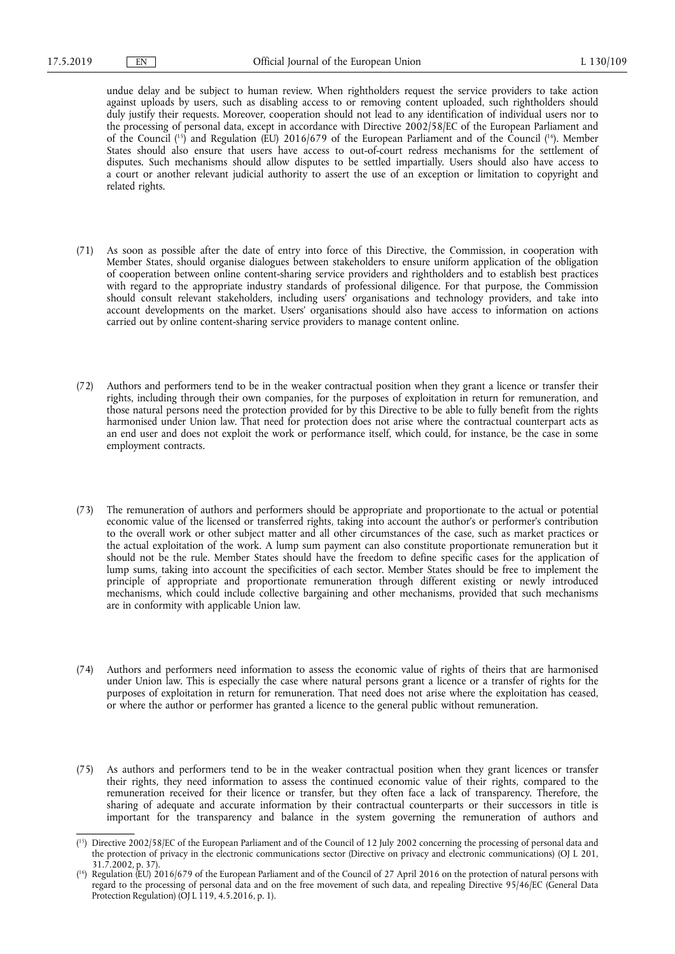undue delay and be subject to human review. When rightholders request the service providers to take action against uploads by users, such as disabling access to or removing content uploaded, such rightholders should duly justify their requests. Moreover, cooperation should not lead to any identification of individual users nor to the processing of personal data, except in accordance with Directive 2002/58/EC of the European Parliament and of the Council ( 15) and Regulation (EU) 2016/679 of the European Parliament and of the Council ( 16). Member States should also ensure that users have access to out-of-court redress mechanisms for the settlement of disputes. Such mechanisms should allow disputes to be settled impartially. Users should also have access to a court or another relevant judicial authority to assert the use of an exception or limitation to copyright and related rights.

- (71) As soon as possible after the date of entry into force of this Directive, the Commission, in cooperation with Member States, should organise dialogues between stakeholders to ensure uniform application of the obligation of cooperation between online content-sharing service providers and rightholders and to establish best practices with regard to the appropriate industry standards of professional diligence. For that purpose, the Commission should consult relevant stakeholders, including users' organisations and technology providers, and take into account developments on the market. Users' organisations should also have access to information on actions carried out by online content-sharing service providers to manage content online.
- (72) Authors and performers tend to be in the weaker contractual position when they grant a licence or transfer their rights, including through their own companies, for the purposes of exploitation in return for remuneration, and those natural persons need the protection provided for by this Directive to be able to fully benefit from the rights harmonised under Union law. That need for protection does not arise where the contractual counterpart acts as an end user and does not exploit the work or performance itself, which could, for instance, be the case in some employment contracts.
- (73) The remuneration of authors and performers should be appropriate and proportionate to the actual or potential economic value of the licensed or transferred rights, taking into account the author's or performer's contribution to the overall work or other subject matter and all other circumstances of the case, such as market practices or the actual exploitation of the work. A lump sum payment can also constitute proportionate remuneration but it should not be the rule. Member States should have the freedom to define specific cases for the application of lump sums, taking into account the specificities of each sector. Member States should be free to implement the principle of appropriate and proportionate remuneration through different existing or newly introduced mechanisms, which could include collective bargaining and other mechanisms, provided that such mechanisms are in conformity with applicable Union law.
- (74) Authors and performers need information to assess the economic value of rights of theirs that are harmonised under Union law. This is especially the case where natural persons grant a licence or a transfer of rights for the purposes of exploitation in return for remuneration. That need does not arise where the exploitation has ceased, or where the author or performer has granted a licence to the general public without remuneration.
- (75) As authors and performers tend to be in the weaker contractual position when they grant licences or transfer their rights, they need information to assess the continued economic value of their rights, compared to the remuneration received for their licence or transfer, but they often face a lack of transparency. Therefore, the sharing of adequate and accurate information by their contractual counterparts or their successors in title is important for the transparency and balance in the system governing the remuneration of authors and

 $(^{15})$  Directive 2002/58/EC of the European Parliament and of the Council of 12 July 2002 concerning the processing of personal data and the protection of privacy in the electronic communications sector (Directive on privacy and electronic communications) (OJ L 201,  $31.\overline{7}.\overline{2002}$ , p. 37).

<sup>(</sup> 16) Regulation (EU) 2016/679 of the European Parliament and of the Council of 27 April 2016 on the protection of natural persons with regard to the processing of personal data and on the free movement of such data, and repealing Directive 95/46/EC (General Data Protection Regulation) (OJ L 119, 4.5.2016, p. 1).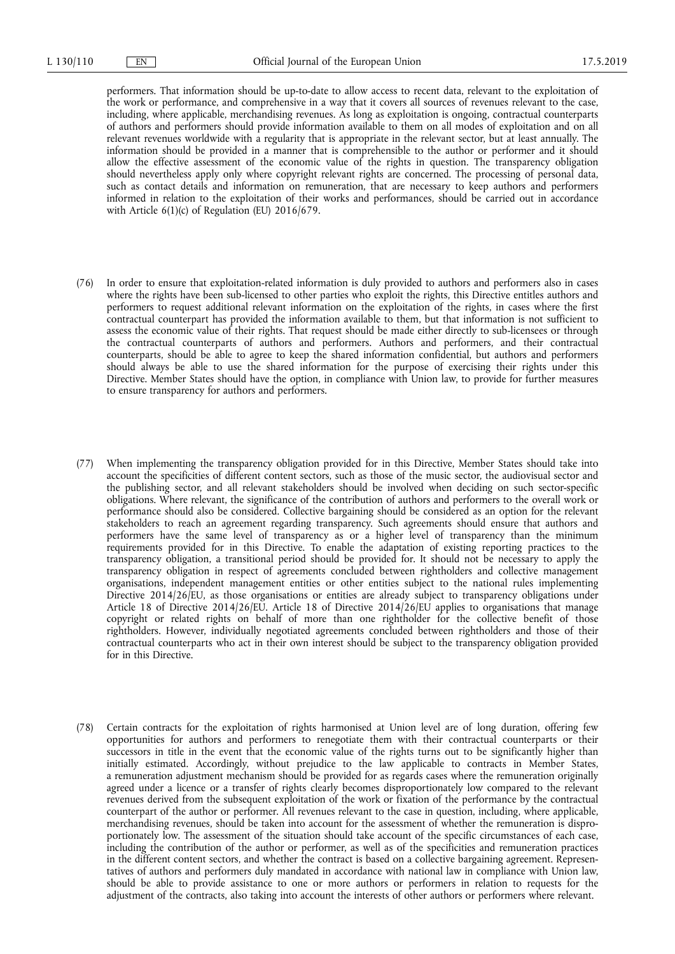performers. That information should be up-to-date to allow access to recent data, relevant to the exploitation of the work or performance, and comprehensive in a way that it covers all sources of revenues relevant to the case, including, where applicable, merchandising revenues. As long as exploitation is ongoing, contractual counterparts of authors and performers should provide information available to them on all modes of exploitation and on all relevant revenues worldwide with a regularity that is appropriate in the relevant sector, but at least annually. The information should be provided in a manner that is comprehensible to the author or performer and it should allow the effective assessment of the economic value of the rights in question. The transparency obligation should nevertheless apply only where copyright relevant rights are concerned. The processing of personal data, such as contact details and information on remuneration, that are necessary to keep authors and performers informed in relation to the exploitation of their works and performances, should be carried out in accordance with Article 6(1)(c) of Regulation (EU) 2016/679.

- (76) In order to ensure that exploitation-related information is duly provided to authors and performers also in cases where the rights have been sub-licensed to other parties who exploit the rights, this Directive entitles authors and performers to request additional relevant information on the exploitation of the rights, in cases where the first contractual counterpart has provided the information available to them, but that information is not sufficient to assess the economic value of their rights. That request should be made either directly to sub-licensees or through the contractual counterparts of authors and performers. Authors and performers, and their contractual counterparts, should be able to agree to keep the shared information confidential, but authors and performers should always be able to use the shared information for the purpose of exercising their rights under this Directive. Member States should have the option, in compliance with Union law, to provide for further measures to ensure transparency for authors and performers.
- (77) When implementing the transparency obligation provided for in this Directive, Member States should take into account the specificities of different content sectors, such as those of the music sector, the audiovisual sector and the publishing sector, and all relevant stakeholders should be involved when deciding on such sector-specific obligations. Where relevant, the significance of the contribution of authors and performers to the overall work or performance should also be considered. Collective bargaining should be considered as an option for the relevant stakeholders to reach an agreement regarding transparency. Such agreements should ensure that authors and performers have the same level of transparency as or a higher level of transparency than the minimum requirements provided for in this Directive. To enable the adaptation of existing reporting practices to the transparency obligation, a transitional period should be provided for. It should not be necessary to apply the transparency obligation in respect of agreements concluded between rightholders and collective management organisations, independent management entities or other entities subject to the national rules implementing Directive 2014/26/EU, as those organisations or entities are already subject to transparency obligations under Article 18 of Directive 2014/26/EU. Article 18 of Directive 2014/26/EU applies to organisations that manage copyright or related rights on behalf of more than one rightholder for the collective benefit of those rightholders. However, individually negotiated agreements concluded between rightholders and those of their contractual counterparts who act in their own interest should be subject to the transparency obligation provided for in this Directive.
- (78) Certain contracts for the exploitation of rights harmonised at Union level are of long duration, offering few opportunities for authors and performers to renegotiate them with their contractual counterparts or their successors in title in the event that the economic value of the rights turns out to be significantly higher than initially estimated. Accordingly, without prejudice to the law applicable to contracts in Member States, a remuneration adjustment mechanism should be provided for as regards cases where the remuneration originally agreed under a licence or a transfer of rights clearly becomes disproportionately low compared to the relevant revenues derived from the subsequent exploitation of the work or fixation of the performance by the contractual counterpart of the author or performer. All revenues relevant to the case in question, including, where applicable, merchandising revenues, should be taken into account for the assessment of whether the remuneration is disproportionately low. The assessment of the situation should take account of the specific circumstances of each case, including the contribution of the author or performer, as well as of the specificities and remuneration practices in the different content sectors, and whether the contract is based on a collective bargaining agreement. Representatives of authors and performers duly mandated in accordance with national law in compliance with Union law, should be able to provide assistance to one or more authors or performers in relation to requests for the adjustment of the contracts, also taking into account the interests of other authors or performers where relevant.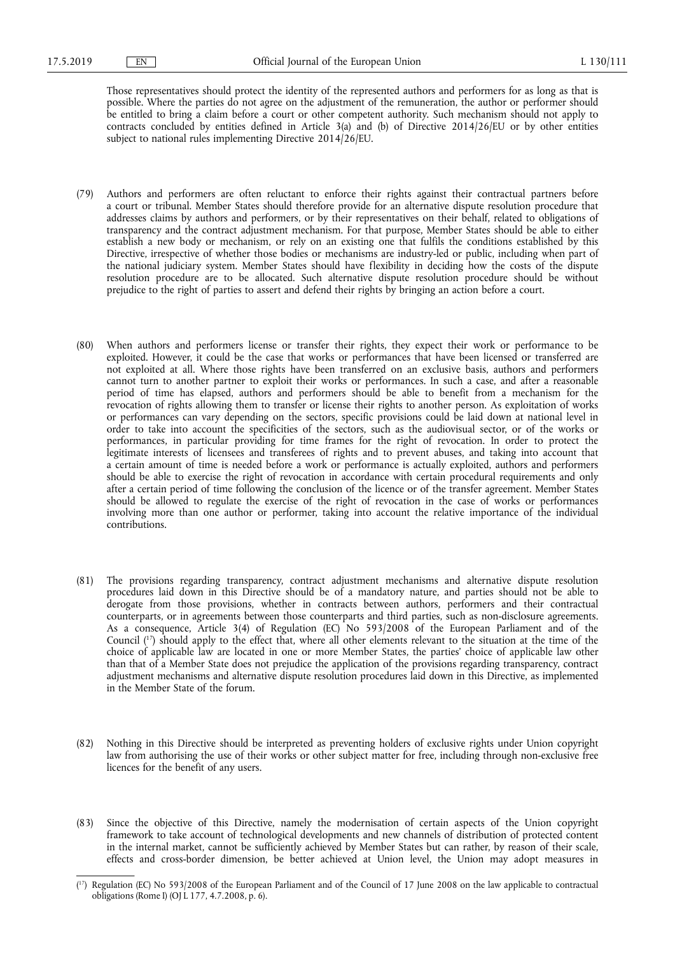Those representatives should protect the identity of the represented authors and performers for as long as that is possible. Where the parties do not agree on the adjustment of the remuneration, the author or performer should be entitled to bring a claim before a court or other competent authority. Such mechanism should not apply to contracts concluded by entities defined in Article 3(a) and (b) of Directive 2014/26/EU or by other entities subject to national rules implementing Directive 2014/26/EU.

- (79) Authors and performers are often reluctant to enforce their rights against their contractual partners before a court or tribunal. Member States should therefore provide for an alternative dispute resolution procedure that addresses claims by authors and performers, or by their representatives on their behalf, related to obligations of transparency and the contract adjustment mechanism. For that purpose, Member States should be able to either establish a new body or mechanism, or rely on an existing one that fulfils the conditions established by this Directive, irrespective of whether those bodies or mechanisms are industry-led or public, including when part of the national judiciary system. Member States should have flexibility in deciding how the costs of the dispute resolution procedure are to be allocated. Such alternative dispute resolution procedure should be without prejudice to the right of parties to assert and defend their rights by bringing an action before a court.
- (80) When authors and performers license or transfer their rights, they expect their work or performance to be exploited. However, it could be the case that works or performances that have been licensed or transferred are not exploited at all. Where those rights have been transferred on an exclusive basis, authors and performers cannot turn to another partner to exploit their works or performances. In such a case, and after a reasonable period of time has elapsed, authors and performers should be able to benefit from a mechanism for the revocation of rights allowing them to transfer or license their rights to another person. As exploitation of works or performances can vary depending on the sectors, specific provisions could be laid down at national level in order to take into account the specificities of the sectors, such as the audiovisual sector, or of the works or performances, in particular providing for time frames for the right of revocation. In order to protect the legitimate interests of licensees and transferees of rights and to prevent abuses, and taking into account that a certain amount of time is needed before a work or performance is actually exploited, authors and performers should be able to exercise the right of revocation in accordance with certain procedural requirements and only after a certain period of time following the conclusion of the licence or of the transfer agreement. Member States should be allowed to regulate the exercise of the right of revocation in the case of works or performances involving more than one author or performer, taking into account the relative importance of the individual contributions.
- (81) The provisions regarding transparency, contract adjustment mechanisms and alternative dispute resolution procedures laid down in this Directive should be of a mandatory nature, and parties should not be able to derogate from those provisions, whether in contracts between authors, performers and their contractual counterparts, or in agreements between those counterparts and third parties, such as non-disclosure agreements. As a consequence, Article 3(4) of Regulation (EC) No 593/2008 of the European Parliament and of the Council ( 17) should apply to the effect that, where all other elements relevant to the situation at the time of the choice of applicable law are located in one or more Member States, the parties' choice of applicable law other than that of a Member State does not prejudice the application of the provisions regarding transparency, contract adjustment mechanisms and alternative dispute resolution procedures laid down in this Directive, as implemented in the Member State of the forum.
- (82) Nothing in this Directive should be interpreted as preventing holders of exclusive rights under Union copyright law from authorising the use of their works or other subject matter for free, including through non-exclusive free licences for the benefit of any users.
- (83) Since the objective of this Directive, namely the modernisation of certain aspects of the Union copyright framework to take account of technological developments and new channels of distribution of protected content in the internal market, cannot be sufficiently achieved by Member States but can rather, by reason of their scale, effects and cross-border dimension, be better achieved at Union level, the Union may adopt measures in

<sup>(</sup> 17) Regulation (EC) No 593/2008 of the European Parliament and of the Council of 17 June 2008 on the law applicable to contractual obligations (Rome I) (OJ L 177, 4.7.2008, p. 6).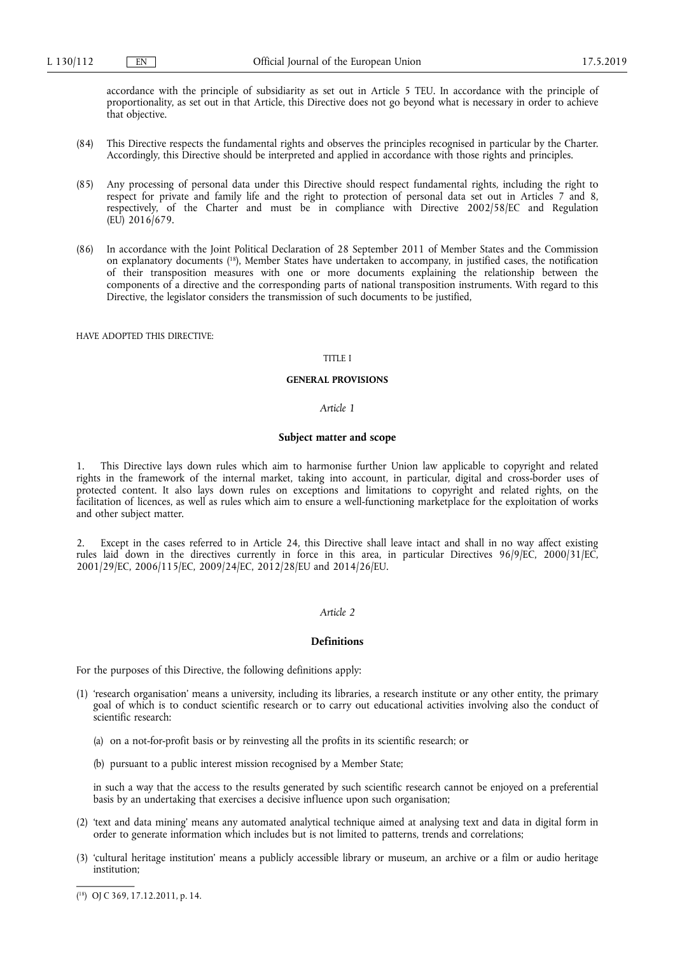accordance with the principle of subsidiarity as set out in Article 5 TEU. In accordance with the principle of proportionality, as set out in that Article, this Directive does not go beyond what is necessary in order to achieve that objective.

- (84) This Directive respects the fundamental rights and observes the principles recognised in particular by the Charter. Accordingly, this Directive should be interpreted and applied in accordance with those rights and principles.
- (85) Any processing of personal data under this Directive should respect fundamental rights, including the right to respect for private and family life and the right to protection of personal data set out in Articles 7 and 8, respectively, of the Charter and must be in compliance with Directive 2002/58/EC and Regulation (EU) 2016/679.
- (86) In accordance with the Joint Political Declaration of 28 September 2011 of Member States and the Commission on explanatory documents ( 18), Member States have undertaken to accompany, in justified cases, the notification of their transposition measures with one or more documents explaining the relationship between the components of a directive and the corresponding parts of national transposition instruments. With regard to this Directive, the legislator considers the transmission of such documents to be justified,

HAVE ADOPTED THIS DIRECTIVE:

#### TITLE I

# **GENERAL PROVISIONS**

## *Article 1*

#### **Subject matter and scope**

1. This Directive lays down rules which aim to harmonise further Union law applicable to copyright and related rights in the framework of the internal market, taking into account, in particular, digital and cross-border uses of protected content. It also lays down rules on exceptions and limitations to copyright and related rights, on the facilitation of licences, as well as rules which aim to ensure a well-functioning marketplace for the exploitation of works and other subject matter.

2. Except in the cases referred to in Article 24, this Directive shall leave intact and shall in no way affect existing rules laid down in the directives currently in force in this area, in particular Directives 96/9/EC, 2000/31/EC, 2001/29/EC, 2006/115/EC, 2009/24/EC, 2012/28/EU and 2014/26/EU.

### *Article 2*

#### **Definitions**

For the purposes of this Directive, the following definitions apply:

- (1) 'research organisation' means a university, including its libraries, a research institute or any other entity, the primary goal of which is to conduct scientific research or to carry out educational activities involving also the conduct of scientific research:
	- (a) on a not-for-profit basis or by reinvesting all the profits in its scientific research; or
	- (b) pursuant to a public interest mission recognised by a Member State;

in such a way that the access to the results generated by such scientific research cannot be enjoyed on a preferential basis by an undertaking that exercises a decisive influence upon such organisation;

- (2) 'text and data mining' means any automated analytical technique aimed at analysing text and data in digital form in order to generate information which includes but is not limited to patterns, trends and correlations;
- (3) 'cultural heritage institution' means a publicly accessible library or museum, an archive or a film or audio heritage institution;

<sup>(</sup> 18) OJ C 369, 17.12.2011, p. 14.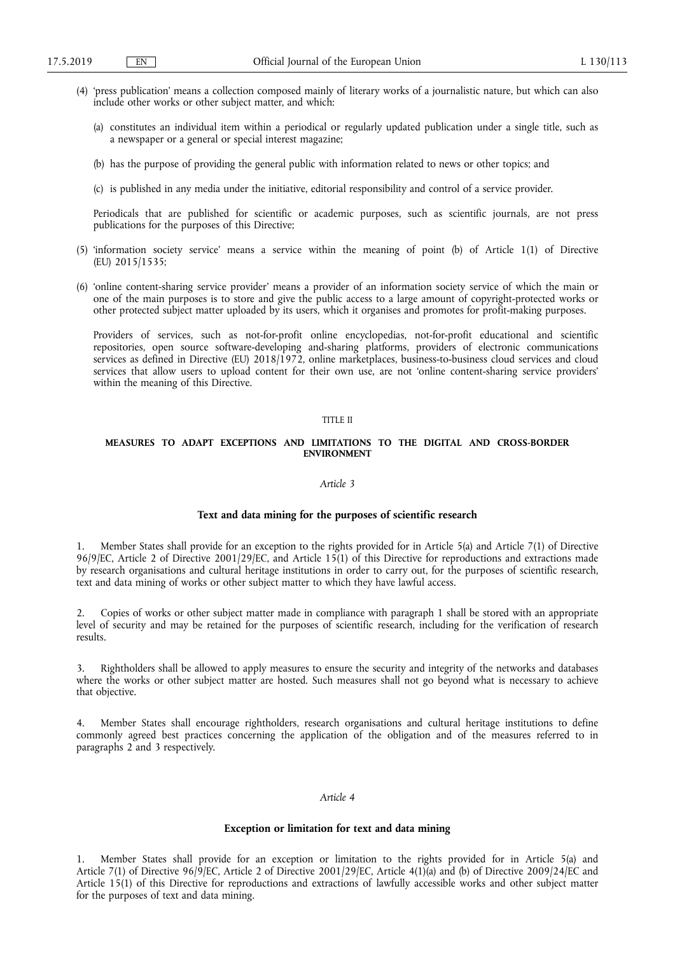- (4) 'press publication' means a collection composed mainly of literary works of a journalistic nature, but which can also include other works or other subject matter, and which:
	- (a) constitutes an individual item within a periodical or regularly updated publication under a single title, such as a newspaper or a general or special interest magazine;
	- (b) has the purpose of providing the general public with information related to news or other topics; and
	- (c) is published in any media under the initiative, editorial responsibility and control of a service provider.

Periodicals that are published for scientific or academic purposes, such as scientific journals, are not press publications for the purposes of this Directive;

- (5) 'information society service' means a service within the meaning of point (b) of Article 1(1) of Directive (EU) 2015/1535;
- (6) 'online content-sharing service provider' means a provider of an information society service of which the main or one of the main purposes is to store and give the public access to a large amount of copyright-protected works or other protected subject matter uploaded by its users, which it organises and promotes for profit-making purposes.

Providers of services, such as not-for-profit online encyclopedias, not-for-profit educational and scientific repositories, open source software-developing and-sharing platforms, providers of electronic communications services as defined in Directive (EU) 2018/1972, online marketplaces, business-to-business cloud services and cloud services that allow users to upload content for their own use, are not 'online content-sharing service providers' within the meaning of this Directive.

### TITLE II

## **MEASURES TO ADAPT EXCEPTIONS AND LIMITATIONS TO THE DIGITAL AND CROSS-BORDER ENVIRONMENT**

## *Article 3*

# **Text and data mining for the purposes of scientific research**

1. Member States shall provide for an exception to the rights provided for in Article 5(a) and Article 7(1) of Directive 96/9/EC, Article 2 of Directive 2001/29/EC, and Article 15(1) of this Directive for reproductions and extractions made by research organisations and cultural heritage institutions in order to carry out, for the purposes of scientific research, text and data mining of works or other subject matter to which they have lawful access.

2. Copies of works or other subject matter made in compliance with paragraph 1 shall be stored with an appropriate level of security and may be retained for the purposes of scientific research, including for the verification of research results.

3. Rightholders shall be allowed to apply measures to ensure the security and integrity of the networks and databases where the works or other subject matter are hosted. Such measures shall not go beyond what is necessary to achieve that objective.

4. Member States shall encourage rightholders, research organisations and cultural heritage institutions to define commonly agreed best practices concerning the application of the obligation and of the measures referred to in paragraphs 2 and 3 respectively.

## *Article 4*

## **Exception or limitation for text and data mining**

1. Member States shall provide for an exception or limitation to the rights provided for in Article 5(a) and Article 7(1) of Directive 96/9/EC, Article 2 of Directive 2001/29/EC, Article 4(1)(a) and (b) of Directive 2009/24/EC and Article 15(1) of this Directive for reproductions and extractions of lawfully accessible works and other subject matter for the purposes of text and data mining.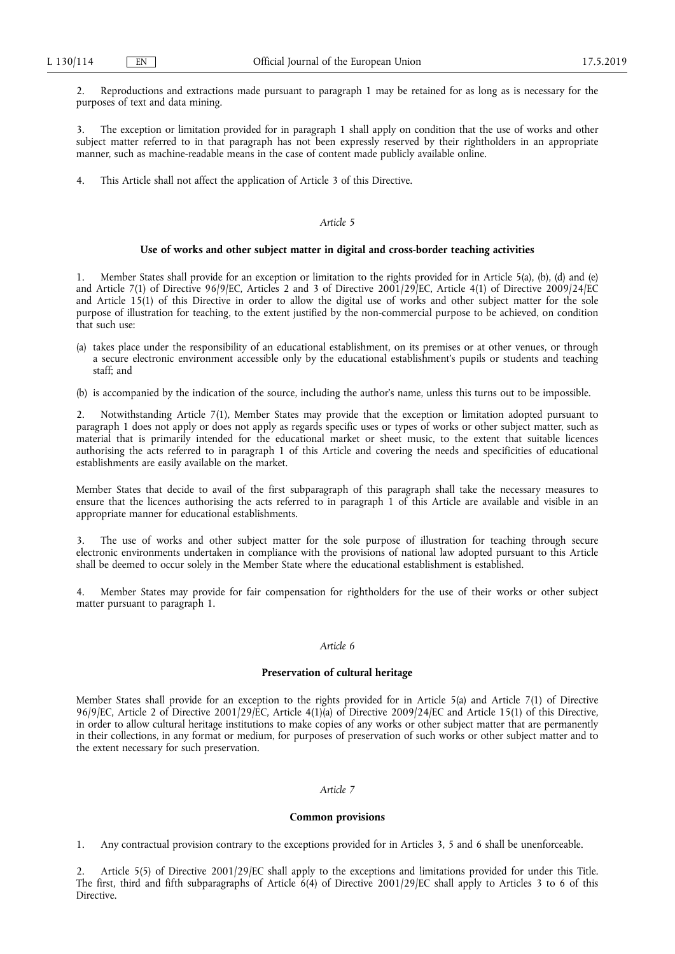2. Reproductions and extractions made pursuant to paragraph 1 may be retained for as long as is necessary for the purposes of text and data mining.

3. The exception or limitation provided for in paragraph 1 shall apply on condition that the use of works and other subject matter referred to in that paragraph has not been expressly reserved by their rightholders in an appropriate manner, such as machine-readable means in the case of content made publicly available online.

4. This Article shall not affect the application of Article 3 of this Directive.

# *Article 5*

### **Use of works and other subject matter in digital and cross-border teaching activities**

1. Member States shall provide for an exception or limitation to the rights provided for in Article 5(a), (b), (d) and (e) and Article 7(1) of Directive 96/9/EC, Articles 2 and 3 of Directive 2001/29/EC, Article 4(1) of Directive 2009/24/EC and Article 15(1) of this Directive in order to allow the digital use of works and other subject matter for the sole purpose of illustration for teaching, to the extent justified by the non-commercial purpose to be achieved, on condition that such use:

- (a) takes place under the responsibility of an educational establishment, on its premises or at other venues, or through a secure electronic environment accessible only by the educational establishment's pupils or students and teaching staff; and
- (b) is accompanied by the indication of the source, including the author's name, unless this turns out to be impossible.

2. Notwithstanding Article 7(1), Member States may provide that the exception or limitation adopted pursuant to paragraph 1 does not apply or does not apply as regards specific uses or types of works or other subject matter, such as material that is primarily intended for the educational market or sheet music, to the extent that suitable licences authorising the acts referred to in paragraph 1 of this Article and covering the needs and specificities of educational establishments are easily available on the market.

Member States that decide to avail of the first subparagraph of this paragraph shall take the necessary measures to ensure that the licences authorising the acts referred to in paragraph 1 of this Article are available and visible in an appropriate manner for educational establishments.

3. The use of works and other subject matter for the sole purpose of illustration for teaching through secure electronic environments undertaken in compliance with the provisions of national law adopted pursuant to this Article shall be deemed to occur solely in the Member State where the educational establishment is established.

4. Member States may provide for fair compensation for rightholders for the use of their works or other subject matter pursuant to paragraph 1.

# *Article 6*

## **Preservation of cultural heritage**

Member States shall provide for an exception to the rights provided for in Article 5(a) and Article 7(1) of Directive  $96/9$ /EC, Article 2 of Directive 2001/29/EC, Article 4(1)(a) of Directive 2009/24/EC and Article 15(1) of this Directive, in order to allow cultural heritage institutions to make copies of any works or other subject matter that are permanently in their collections, in any format or medium, for purposes of preservation of such works or other subject matter and to the extent necessary for such preservation.

## *Article 7*

#### **Common provisions**

1. Any contractual provision contrary to the exceptions provided for in Articles 3, 5 and 6 shall be unenforceable.

2. Article 5(5) of Directive 2001/29/EC shall apply to the exceptions and limitations provided for under this Title. The first, third and fifth subparagraphs of Article  $6(4)$  of Directive 2001/29/EC shall apply to Articles 3 to 6 of this Directive.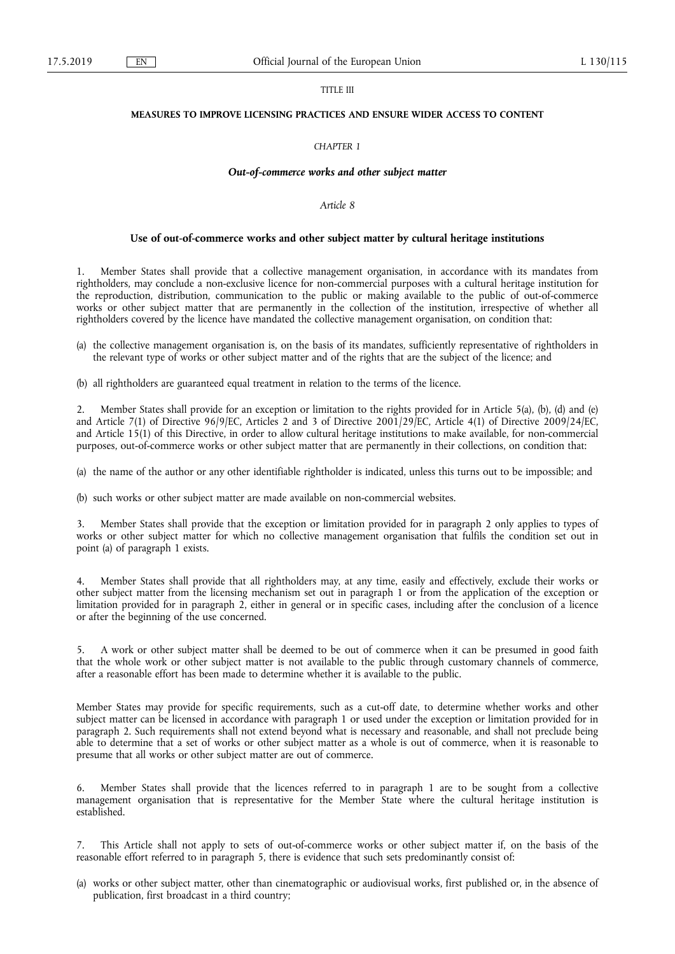#### TITLE III

## **MEASURES TO IMPROVE LICENSING PRACTICES AND ENSURE WIDER ACCESS TO CONTENT**

### *CHAPTER 1*

#### *Out-of-commerce works and other subject matter*

## *Article 8*

#### **Use of out-of-commerce works and other subject matter by cultural heritage institutions**

1. Member States shall provide that a collective management organisation, in accordance with its mandates from rightholders, may conclude a non-exclusive licence for non-commercial purposes with a cultural heritage institution for the reproduction, distribution, communication to the public or making available to the public of out-of-commerce works or other subject matter that are permanently in the collection of the institution, irrespective of whether all rightholders covered by the licence have mandated the collective management organisation, on condition that:

(a) the collective management organisation is, on the basis of its mandates, sufficiently representative of rightholders in the relevant type of works or other subject matter and of the rights that are the subject of the licence; and

(b) all rightholders are guaranteed equal treatment in relation to the terms of the licence.

2. Member States shall provide for an exception or limitation to the rights provided for in Article 5(a), (b), (d) and (e) and Article 7(1) of Directive 96/9/EC, Articles 2 and 3 of Directive 2001/29/EC, Article 4(1) of Directive 2009/24/EC, and Article 15(1) of this Directive, in order to allow cultural heritage institutions to make available, for non-commercial purposes, out-of-commerce works or other subject matter that are permanently in their collections, on condition that:

(a) the name of the author or any other identifiable rightholder is indicated, unless this turns out to be impossible; and

(b) such works or other subject matter are made available on non-commercial websites.

3. Member States shall provide that the exception or limitation provided for in paragraph 2 only applies to types of works or other subject matter for which no collective management organisation that fulfils the condition set out in point (a) of paragraph 1 exists.

4. Member States shall provide that all rightholders may, at any time, easily and effectively, exclude their works or other subject matter from the licensing mechanism set out in paragraph 1 or from the application of the exception or limitation provided for in paragraph 2, either in general or in specific cases, including after the conclusion of a licence or after the beginning of the use concerned.

5. A work or other subject matter shall be deemed to be out of commerce when it can be presumed in good faith that the whole work or other subject matter is not available to the public through customary channels of commerce, after a reasonable effort has been made to determine whether it is available to the public.

Member States may provide for specific requirements, such as a cut-off date, to determine whether works and other subject matter can be licensed in accordance with paragraph 1 or used under the exception or limitation provided for in paragraph 2. Such requirements shall not extend beyond what is necessary and reasonable, and shall not preclude being able to determine that a set of works or other subject matter as a whole is out of commerce, when it is reasonable to presume that all works or other subject matter are out of commerce.

6. Member States shall provide that the licences referred to in paragraph 1 are to be sought from a collective management organisation that is representative for the Member State where the cultural heritage institution is established.

This Article shall not apply to sets of out-of-commerce works or other subject matter if, on the basis of the reasonable effort referred to in paragraph 5, there is evidence that such sets predominantly consist of:

(a) works or other subject matter, other than cinematographic or audiovisual works, first published or, in the absence of publication, first broadcast in a third country;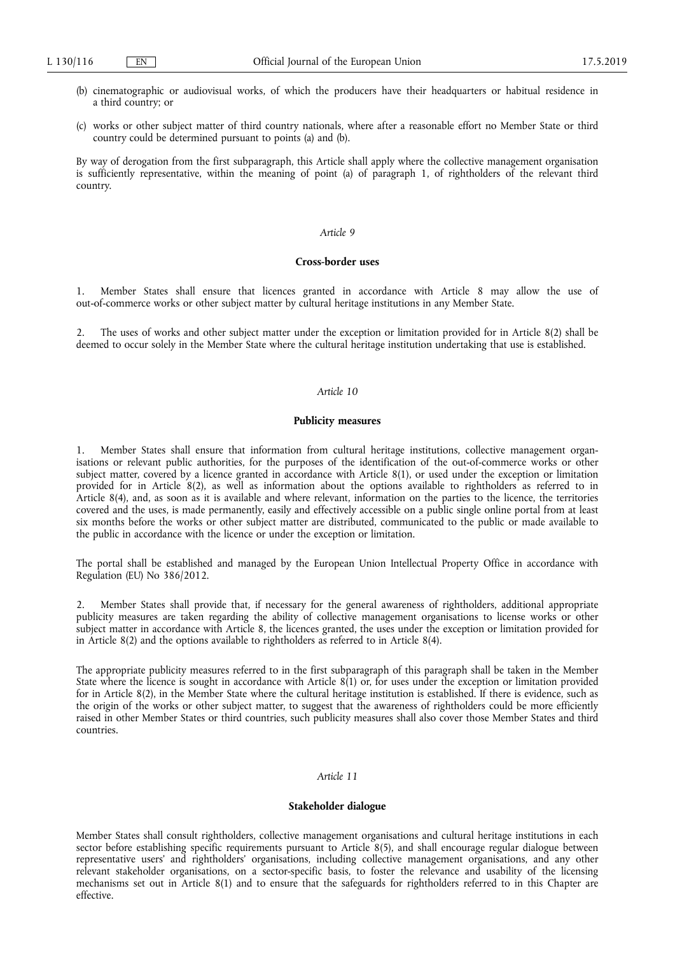- (b) cinematographic or audiovisual works, of which the producers have their headquarters or habitual residence in a third country; or
- (c) works or other subject matter of third country nationals, where after a reasonable effort no Member State or third country could be determined pursuant to points (a) and (b).

By way of derogation from the first subparagraph, this Article shall apply where the collective management organisation is sufficiently representative, within the meaning of point (a) of paragraph 1, of rightholders of the relevant third country.

## *Article 9*

#### **Cross-border uses**

1. Member States shall ensure that licences granted in accordance with Article 8 may allow the use of out-of-commerce works or other subject matter by cultural heritage institutions in any Member State.

2. The uses of works and other subject matter under the exception or limitation provided for in Article 8(2) shall be deemed to occur solely in the Member State where the cultural heritage institution undertaking that use is established.

## *Article 10*

#### **Publicity measures**

1. Member States shall ensure that information from cultural heritage institutions, collective management organisations or relevant public authorities, for the purposes of the identification of the out-of-commerce works or other subject matter, covered by a licence granted in accordance with Article 8(1), or used under the exception or limitation provided for in Article 8(2), as well as information about the options available to rightholders as referred to in Article 8(4), and, as soon as it is available and where relevant, information on the parties to the licence, the territories covered and the uses, is made permanently, easily and effectively accessible on a public single online portal from at least six months before the works or other subject matter are distributed, communicated to the public or made available to the public in accordance with the licence or under the exception or limitation.

The portal shall be established and managed by the European Union Intellectual Property Office in accordance with Regulation (EU) No 386/2012.

2. Member States shall provide that, if necessary for the general awareness of rightholders, additional appropriate publicity measures are taken regarding the ability of collective management organisations to license works or other subject matter in accordance with Article 8, the licences granted, the uses under the exception or limitation provided for in Article 8(2) and the options available to rightholders as referred to in Article 8(4).

The appropriate publicity measures referred to in the first subparagraph of this paragraph shall be taken in the Member State where the licence is sought in accordance with Article  $8(1)$  or, for uses under the exception or limitation provided for in Article 8(2), in the Member State where the cultural heritage institution is established. If there is evidence, such as the origin of the works or other subject matter, to suggest that the awareness of rightholders could be more efficiently raised in other Member States or third countries, such publicity measures shall also cover those Member States and third countries.

# *Article 11*

#### **Stakeholder dialogue**

Member States shall consult rightholders, collective management organisations and cultural heritage institutions in each sector before establishing specific requirements pursuant to Article 8(5), and shall encourage regular dialogue between representative users' and rightholders' organisations, including collective management organisations, and any other relevant stakeholder organisations, on a sector-specific basis, to foster the relevance and usability of the licensing mechanisms set out in Article 8(1) and to ensure that the safeguards for rightholders referred to in this Chapter are effective.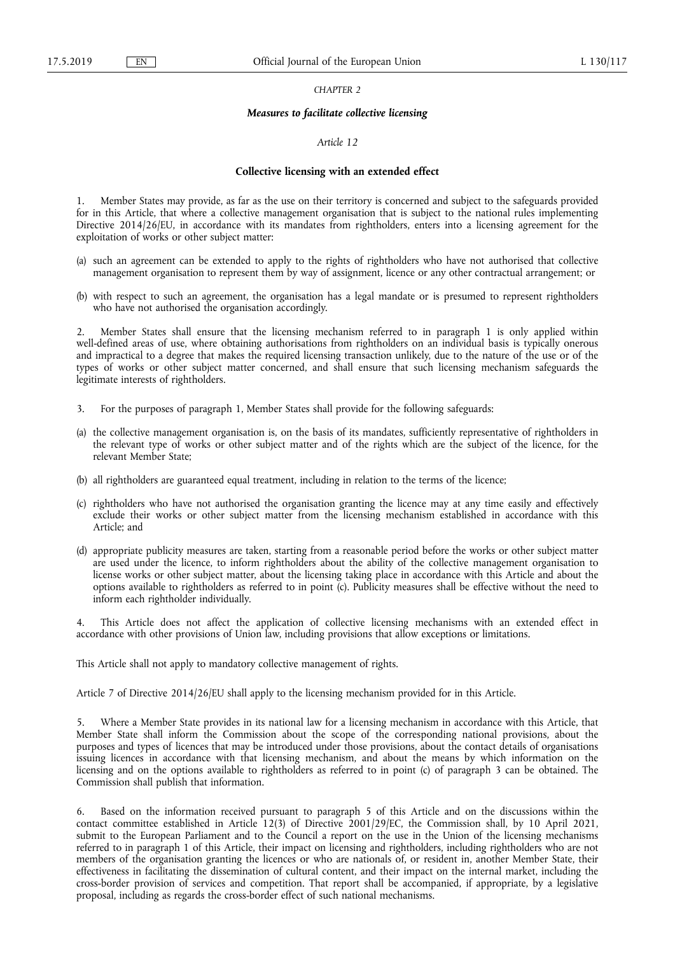*CHAPTER 2* 

### *Measures to facilitate collective licensing*

#### *Article 12*

#### **Collective licensing with an extended effect**

Member States may provide, as far as the use on their territory is concerned and subject to the safeguards provided for in this Article, that where a collective management organisation that is subject to the national rules implementing Directive 2014/26/EU, in accordance with its mandates from rightholders, enters into a licensing agreement for the exploitation of works or other subject matter:

- (a) such an agreement can be extended to apply to the rights of rightholders who have not authorised that collective management organisation to represent them by way of assignment, licence or any other contractual arrangement; or
- (b) with respect to such an agreement, the organisation has a legal mandate or is presumed to represent rightholders who have not authorised the organisation accordingly.

2. Member States shall ensure that the licensing mechanism referred to in paragraph 1 is only applied within well-defined areas of use, where obtaining authorisations from rightholders on an individual basis is typically onerous and impractical to a degree that makes the required licensing transaction unlikely, due to the nature of the use or of the types of works or other subject matter concerned, and shall ensure that such licensing mechanism safeguards the legitimate interests of rightholders.

- 3. For the purposes of paragraph 1, Member States shall provide for the following safeguards:
- (a) the collective management organisation is, on the basis of its mandates, sufficiently representative of rightholders in the relevant type of works or other subject matter and of the rights which are the subject of the licence, for the relevant Member State;
- (b) all rightholders are guaranteed equal treatment, including in relation to the terms of the licence;
- (c) rightholders who have not authorised the organisation granting the licence may at any time easily and effectively exclude their works or other subject matter from the licensing mechanism established in accordance with this Article; and
- (d) appropriate publicity measures are taken, starting from a reasonable period before the works or other subject matter are used under the licence, to inform rightholders about the ability of the collective management organisation to license works or other subject matter, about the licensing taking place in accordance with this Article and about the options available to rightholders as referred to in point (c). Publicity measures shall be effective without the need to inform each rightholder individually.

This Article does not affect the application of collective licensing mechanisms with an extended effect in accordance with other provisions of Union law, including provisions that allow exceptions or limitations.

This Article shall not apply to mandatory collective management of rights.

Article 7 of Directive 2014/26/EU shall apply to the licensing mechanism provided for in this Article.

5. Where a Member State provides in its national law for a licensing mechanism in accordance with this Article, that Member State shall inform the Commission about the scope of the corresponding national provisions, about the purposes and types of licences that may be introduced under those provisions, about the contact details of organisations issuing licences in accordance with that licensing mechanism, and about the means by which information on the licensing and on the options available to rightholders as referred to in point (c) of paragraph 3 can be obtained. The Commission shall publish that information.

6. Based on the information received pursuant to paragraph 5 of this Article and on the discussions within the contact committee established in Article 12(3) of Directive 2001/29/EC, the Commission shall, by 10 April 2021, submit to the European Parliament and to the Council a report on the use in the Union of the licensing mechanisms referred to in paragraph 1 of this Article, their impact on licensing and rightholders, including rightholders who are not members of the organisation granting the licences or who are nationals of, or resident in, another Member State, their effectiveness in facilitating the dissemination of cultural content, and their impact on the internal market, including the cross-border provision of services and competition. That report shall be accompanied, if appropriate, by a legislative proposal, including as regards the cross-border effect of such national mechanisms.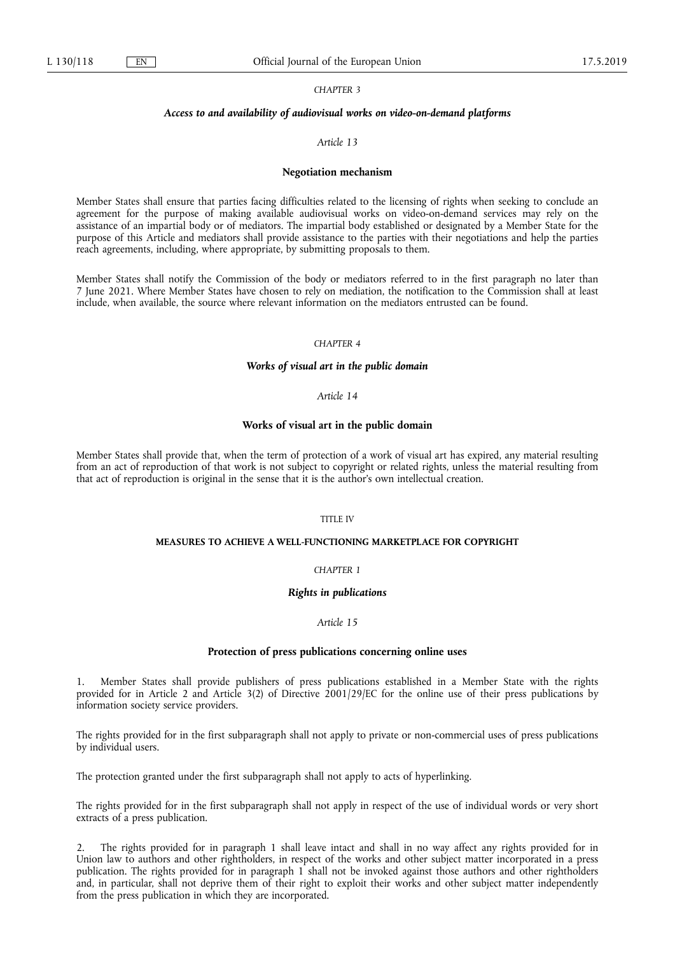*CHAPTER 3* 

#### *Access to and availability of audiovisual works on video-on-demand platforms*

#### *Article 13*

#### **Negotiation mechanism**

Member States shall ensure that parties facing difficulties related to the licensing of rights when seeking to conclude an agreement for the purpose of making available audiovisual works on video-on-demand services may rely on the assistance of an impartial body or of mediators. The impartial body established or designated by a Member State for the purpose of this Article and mediators shall provide assistance to the parties with their negotiations and help the parties reach agreements, including, where appropriate, by submitting proposals to them.

Member States shall notify the Commission of the body or mediators referred to in the first paragraph no later than 7 June 2021. Where Member States have chosen to rely on mediation, the notification to the Commission shall at least include, when available, the source where relevant information on the mediators entrusted can be found.

#### *CHAPTER 4*

### *Works of visual art in the public domain*

#### *Article 14*

# **Works of visual art in the public domain**

Member States shall provide that, when the term of protection of a work of visual art has expired, any material resulting from an act of reproduction of that work is not subject to copyright or related rights, unless the material resulting from that act of reproduction is original in the sense that it is the author's own intellectual creation.

### TITLE IV

## **MEASURES TO ACHIEVE A WELL-FUNCTIONING MARKETPLACE FOR COPYRIGHT**

## *CHAPTER 1*

### *Rights in publications*

#### *Article 15*

## **Protection of press publications concerning online uses**

1. Member States shall provide publishers of press publications established in a Member State with the rights provided for in Article 2 and Article 3(2) of Directive 2001/29/EC for the online use of their press publications by information society service providers.

The rights provided for in the first subparagraph shall not apply to private or non-commercial uses of press publications by individual users.

The protection granted under the first subparagraph shall not apply to acts of hyperlinking.

The rights provided for in the first subparagraph shall not apply in respect of the use of individual words or very short extracts of a press publication.

2. The rights provided for in paragraph 1 shall leave intact and shall in no way affect any rights provided for in Union law to authors and other rightholders, in respect of the works and other subject matter incorporated in a press publication. The rights provided for in paragraph 1 shall not be invoked against those authors and other rightholders and, in particular, shall not deprive them of their right to exploit their works and other subject matter independently from the press publication in which they are incorporated.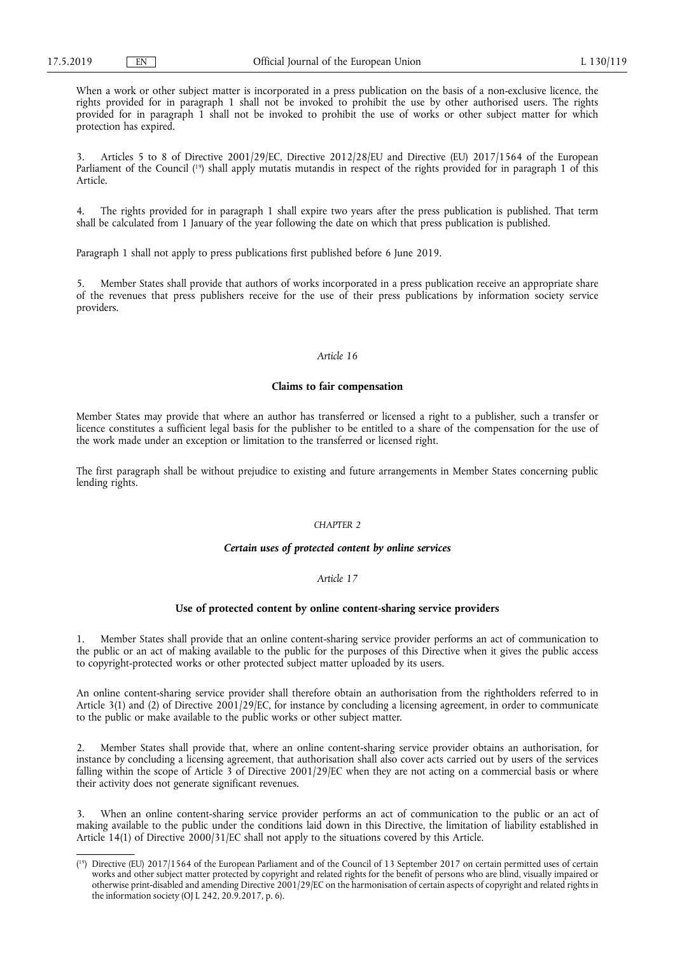When a work or other subject matter is incorporated in a press publication on the basis of a non-exclusive licence, the rights provided for in paragraph 1 shall not be invoked to prohibit the use by other authorised users. The rights provided for in paragraph 1 shall not be invoked to prohibit the use of works or other subject matter for which protection has expired.

3. Articles 5 to 8 of Directive 2001/29/EC, Directive 2012/28/EU and Directive (EU) 2017/1564 of the European Parliament of the Council ( 19) shall apply mutatis mutandis in respect of the rights provided for in paragraph 1 of this Article.

4. The rights provided for in paragraph 1 shall expire two years after the press publication is published. That term shall be calculated from 1 January of the year following the date on which that press publication is published.

Paragraph 1 shall not apply to press publications first published before 6 June 2019.

Member States shall provide that authors of works incorporated in a press publication receive an appropriate share of the revenues that press publishers receive for the use of their press publications by information society service providers.

#### *Article 16*

### **Claims to fair compensation**

Member States may provide that where an author has transferred or licensed a right to a publisher, such a transfer or licence constitutes a sufficient legal basis for the publisher to be entitled to a share of the compensation for the use of the work made under an exception or limitation to the transferred or licensed right.

The first paragraph shall be without prejudice to existing and future arrangements in Member States concerning public lending rights.

#### *CHAPTER 2*

#### *Certain uses of protected content by online services*

# *Article 17*

#### **Use of protected content by online content-sharing service providers**

1. Member States shall provide that an online content-sharing service provider performs an act of communication to the public or an act of making available to the public for the purposes of this Directive when it gives the public access to copyright-protected works or other protected subject matter uploaded by its users.

An online content-sharing service provider shall therefore obtain an authorisation from the rightholders referred to in Article 3(1) and (2) of Directive 2001/29/EC, for instance by concluding a licensing agreement, in order to communicate to the public or make available to the public works or other subject matter.

2. Member States shall provide that, where an online content-sharing service provider obtains an authorisation, for instance by concluding a licensing agreement, that authorisation shall also cover acts carried out by users of the services falling within the scope of Article 3 of Directive 2001/29/EC when they are not acting on a commercial basis or where their activity does not generate significant revenues.

When an online content-sharing service provider performs an act of communication to the public or an act of making available to the public under the conditions laid down in this Directive, the limitation of liability established in Article 14(1) of Directive 2000/31/EC shall not apply to the situations covered by this Article.

<sup>&</sup>lt;sup>(19</sup>) Directive (EU) 2017/1564 of the European Parliament and of the Council of 13 September 2017 on certain permitted uses of certain works and other subject matter protected by copyright and related rights for the benefit of persons who are blind, visually impaired or otherwise print-disabled and amending Directive 2001/29/EC on the harmonisation of certain aspects of copyright and related rights in the information society (OJ L 242, 20.9.2017, p. 6).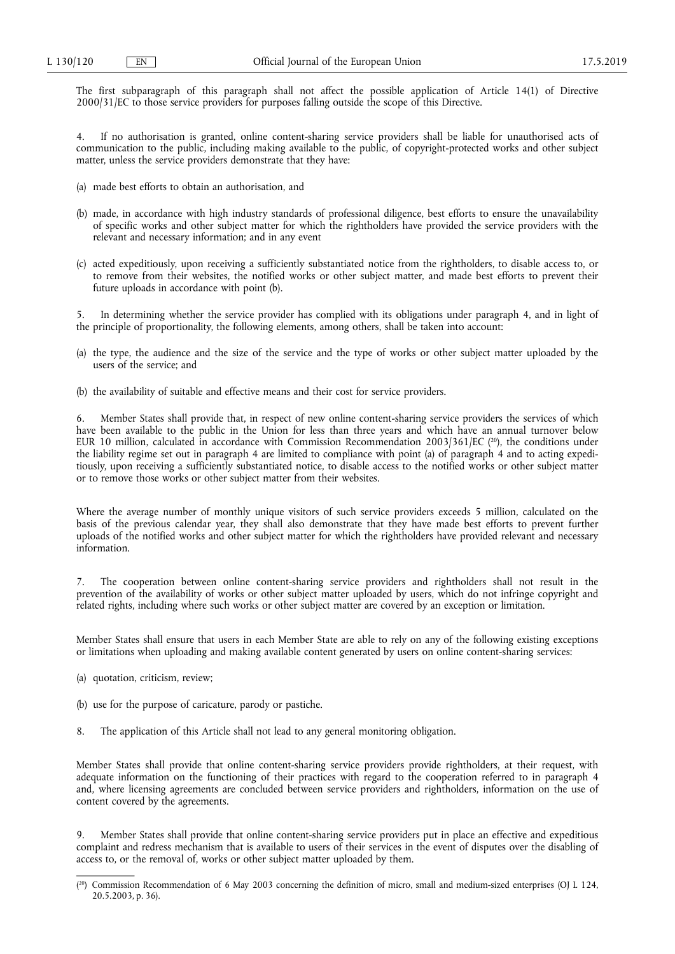The first subparagraph of this paragraph shall not affect the possible application of Article 14(1) of Directive 2000/31/EC to those service providers for purposes falling outside the scope of this Directive.

4. If no authorisation is granted, online content-sharing service providers shall be liable for unauthorised acts of communication to the public, including making available to the public, of copyright-protected works and other subject matter, unless the service providers demonstrate that they have:

- (a) made best efforts to obtain an authorisation, and
- (b) made, in accordance with high industry standards of professional diligence, best efforts to ensure the unavailability of specific works and other subject matter for which the rightholders have provided the service providers with the relevant and necessary information; and in any event
- (c) acted expeditiously, upon receiving a sufficiently substantiated notice from the rightholders, to disable access to, or to remove from their websites, the notified works or other subject matter, and made best efforts to prevent their future uploads in accordance with point (b).

In determining whether the service provider has complied with its obligations under paragraph 4, and in light of the principle of proportionality, the following elements, among others, shall be taken into account:

- (a) the type, the audience and the size of the service and the type of works or other subject matter uploaded by the users of the service; and
- (b) the availability of suitable and effective means and their cost for service providers.

Member States shall provide that, in respect of new online content-sharing service providers the services of which have been available to the public in the Union for less than three years and which have an annual turnover below EUR 10 million, calculated in accordance with Commission Recommendation 2003/361/EC ( $^{20}$ ), the conditions under the liability regime set out in paragraph 4 are limited to compliance with point (a) of paragraph 4 and to acting expeditiously, upon receiving a sufficiently substantiated notice, to disable access to the notified works or other subject matter or to remove those works or other subject matter from their websites.

Where the average number of monthly unique visitors of such service providers exceeds 5 million, calculated on the basis of the previous calendar year, they shall also demonstrate that they have made best efforts to prevent further uploads of the notified works and other subject matter for which the rightholders have provided relevant and necessary information.

7. The cooperation between online content-sharing service providers and rightholders shall not result in the prevention of the availability of works or other subject matter uploaded by users, which do not infringe copyright and related rights, including where such works or other subject matter are covered by an exception or limitation.

Member States shall ensure that users in each Member State are able to rely on any of the following existing exceptions or limitations when uploading and making available content generated by users on online content-sharing services:

- (a) quotation, criticism, review;
- (b) use for the purpose of caricature, parody or pastiche.
- 8. The application of this Article shall not lead to any general monitoring obligation.

Member States shall provide that online content-sharing service providers provide rightholders, at their request, with adequate information on the functioning of their practices with regard to the cooperation referred to in paragraph 4 and, where licensing agreements are concluded between service providers and rightholders, information on the use of content covered by the agreements.

9. Member States shall provide that online content-sharing service providers put in place an effective and expeditious complaint and redress mechanism that is available to users of their services in the event of disputes over the disabling of access to, or the removal of, works or other subject matter uploaded by them.

<sup>(</sup> 20) Commission Recommendation of 6 May 2003 concerning the definition of micro, small and medium-sized enterprises (OJ L 124, 20.5.2003, p. 36).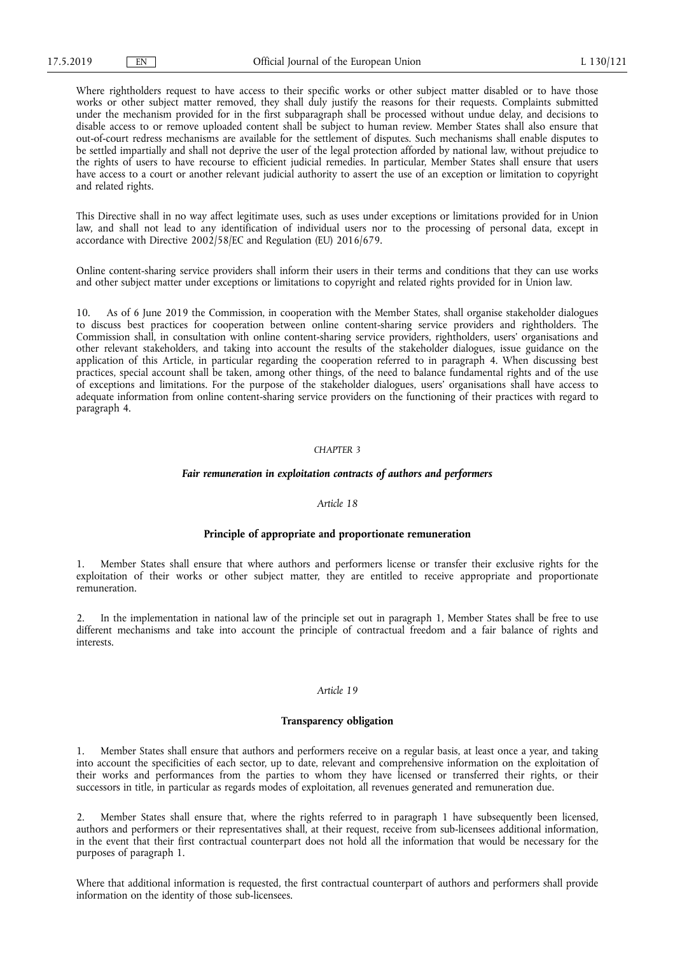Where rightholders request to have access to their specific works or other subject matter disabled or to have those works or other subject matter removed, they shall duly justify the reasons for their requests. Complaints submitted under the mechanism provided for in the first subparagraph shall be processed without undue delay, and decisions to disable access to or remove uploaded content shall be subject to human review. Member States shall also ensure that out-of-court redress mechanisms are available for the settlement of disputes. Such mechanisms shall enable disputes to be settled impartially and shall not deprive the user of the legal protection afforded by national law, without prejudice to the rights of users to have recourse to efficient judicial remedies. In particular, Member States shall ensure that users have access to a court or another relevant judicial authority to assert the use of an exception or limitation to copyright and related rights.

This Directive shall in no way affect legitimate uses, such as uses under exceptions or limitations provided for in Union law, and shall not lead to any identification of individual users nor to the processing of personal data, except in accordance with Directive  $2002/58/EC$  and Regulation (EU) 2016/679.

Online content-sharing service providers shall inform their users in their terms and conditions that they can use works and other subject matter under exceptions or limitations to copyright and related rights provided for in Union law.

10. As of 6 June 2019 the Commission, in cooperation with the Member States, shall organise stakeholder dialogues to discuss best practices for cooperation between online content-sharing service providers and rightholders. The Commission shall, in consultation with online content-sharing service providers, rightholders, users' organisations and other relevant stakeholders, and taking into account the results of the stakeholder dialogues, issue guidance on the application of this Article, in particular regarding the cooperation referred to in paragraph 4. When discussing best practices, special account shall be taken, among other things, of the need to balance fundamental rights and of the use of exceptions and limitations. For the purpose of the stakeholder dialogues, users' organisations shall have access to adequate information from online content-sharing service providers on the functioning of their practices with regard to paragraph 4.

#### *CHAPTER 3*

### *Fair remuneration in exploitation contracts of authors and performers*

## *Article 18*

### **Principle of appropriate and proportionate remuneration**

Member States shall ensure that where authors and performers license or transfer their exclusive rights for the exploitation of their works or other subject matter, they are entitled to receive appropriate and proportionate remuneration.

2. In the implementation in national law of the principle set out in paragraph 1, Member States shall be free to use different mechanisms and take into account the principle of contractual freedom and a fair balance of rights and interests.

# *Article 19*

### **Transparency obligation**

1. Member States shall ensure that authors and performers receive on a regular basis, at least once a year, and taking into account the specificities of each sector, up to date, relevant and comprehensive information on the exploitation of their works and performances from the parties to whom they have licensed or transferred their rights, or their successors in title, in particular as regards modes of exploitation, all revenues generated and remuneration due.

2. Member States shall ensure that, where the rights referred to in paragraph 1 have subsequently been licensed, authors and performers or their representatives shall, at their request, receive from sub-licensees additional information, in the event that their first contractual counterpart does not hold all the information that would be necessary for the purposes of paragraph 1.

Where that additional information is requested, the first contractual counterpart of authors and performers shall provide information on the identity of those sub-licensees.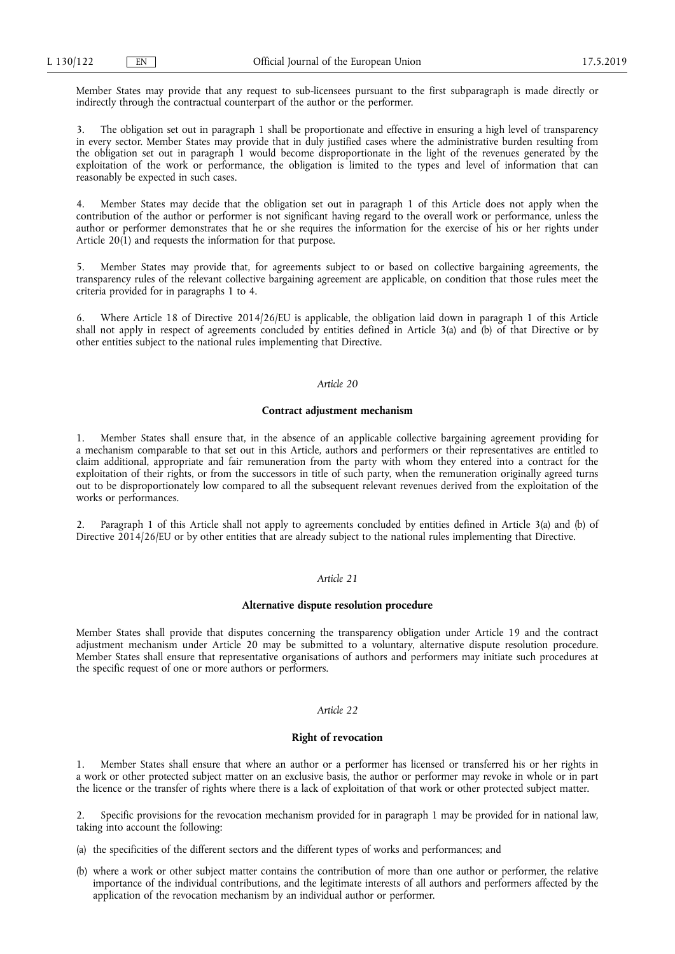Member States may provide that any request to sub-licensees pursuant to the first subparagraph is made directly or indirectly through the contractual counterpart of the author or the performer.

3. The obligation set out in paragraph 1 shall be proportionate and effective in ensuring a high level of transparency in every sector. Member States may provide that in duly justified cases where the administrative burden resulting from the obligation set out in paragraph 1 would become disproportionate in the light of the revenues generated by the exploitation of the work or performance, the obligation is limited to the types and level of information that can reasonably be expected in such cases.

4. Member States may decide that the obligation set out in paragraph 1 of this Article does not apply when the contribution of the author or performer is not significant having regard to the overall work or performance, unless the author or performer demonstrates that he or she requires the information for the exercise of his or her rights under Article 20(1) and requests the information for that purpose.

5. Member States may provide that, for agreements subject to or based on collective bargaining agreements, the transparency rules of the relevant collective bargaining agreement are applicable, on condition that those rules meet the criteria provided for in paragraphs 1 to 4.

6. Where Article 18 of Directive 2014/26/EU is applicable, the obligation laid down in paragraph 1 of this Article shall not apply in respect of agreements concluded by entities defined in Article 3(a) and (b) of that Directive or by other entities subject to the national rules implementing that Directive.

#### *Article 20*

#### **Contract adjustment mechanism**

1. Member States shall ensure that, in the absence of an applicable collective bargaining agreement providing for a mechanism comparable to that set out in this Article, authors and performers or their representatives are entitled to claim additional, appropriate and fair remuneration from the party with whom they entered into a contract for the exploitation of their rights, or from the successors in title of such party, when the remuneration originally agreed turns out to be disproportionately low compared to all the subsequent relevant revenues derived from the exploitation of the works or performances.

Paragraph 1 of this Article shall not apply to agreements concluded by entities defined in Article 3(a) and (b) of Directive 2014/26/EU or by other entities that are already subject to the national rules implementing that Directive.

### *Article 21*

### **Alternative dispute resolution procedure**

Member States shall provide that disputes concerning the transparency obligation under Article 19 and the contract adjustment mechanism under Article 20 may be submitted to a voluntary, alternative dispute resolution procedure. Member States shall ensure that representative organisations of authors and performers may initiate such procedures at the specific request of one or more authors or performers.

## *Article 22*

### **Right of revocation**

1. Member States shall ensure that where an author or a performer has licensed or transferred his or her rights in a work or other protected subject matter on an exclusive basis, the author or performer may revoke in whole or in part the licence or the transfer of rights where there is a lack of exploitation of that work or other protected subject matter.

2. Specific provisions for the revocation mechanism provided for in paragraph 1 may be provided for in national law, taking into account the following:

- (a) the specificities of the different sectors and the different types of works and performances; and
- (b) where a work or other subject matter contains the contribution of more than one author or performer, the relative importance of the individual contributions, and the legitimate interests of all authors and performers affected by the application of the revocation mechanism by an individual author or performer.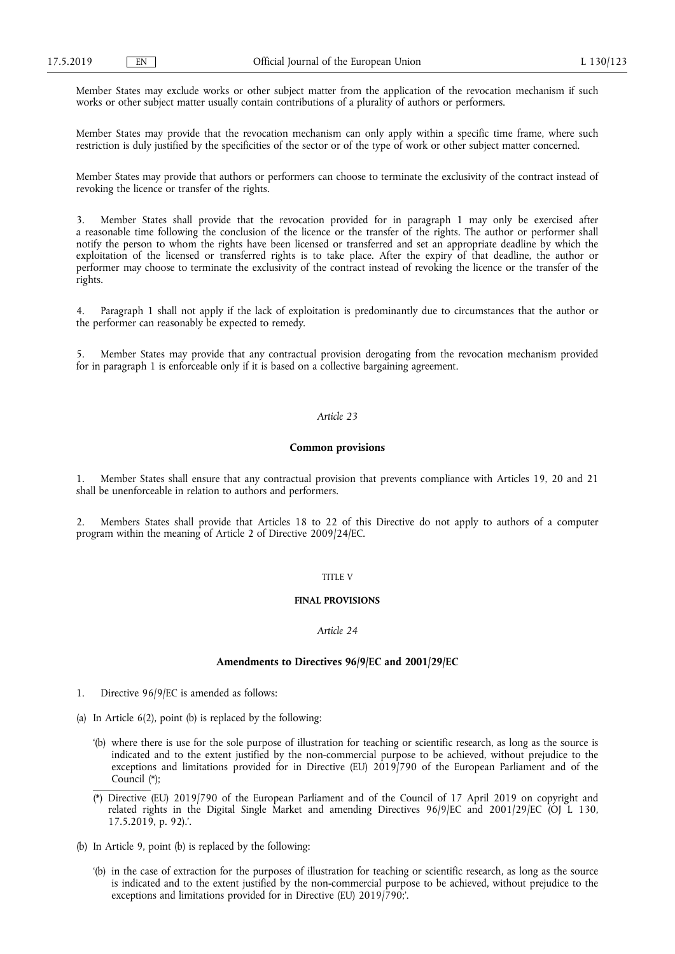Member States may exclude works or other subject matter from the application of the revocation mechanism if such works or other subject matter usually contain contributions of a plurality of authors or performers.

Member States may provide that the revocation mechanism can only apply within a specific time frame, where such restriction is duly justified by the specificities of the sector or of the type of work or other subject matter concerned.

Member States may provide that authors or performers can choose to terminate the exclusivity of the contract instead of revoking the licence or transfer of the rights.

3. Member States shall provide that the revocation provided for in paragraph 1 may only be exercised after a reasonable time following the conclusion of the licence or the transfer of the rights. The author or performer shall notify the person to whom the rights have been licensed or transferred and set an appropriate deadline by which the exploitation of the licensed or transferred rights is to take place. After the expiry of that deadline, the author or performer may choose to terminate the exclusivity of the contract instead of revoking the licence or the transfer of the rights.

4. Paragraph 1 shall not apply if the lack of exploitation is predominantly due to circumstances that the author or the performer can reasonably be expected to remedy.

5. Member States may provide that any contractual provision derogating from the revocation mechanism provided for in paragraph 1 is enforceable only if it is based on a collective bargaining agreement.

## *Article 23*

#### **Common provisions**

1. Member States shall ensure that any contractual provision that prevents compliance with Articles 19, 20 and 21 shall be unenforceable in relation to authors and performers.

2. Members States shall provide that Articles 18 to 22 of this Directive do not apply to authors of a computer program within the meaning of Article 2 of Directive 2009/24/EC.

## TITLE V

#### **FINAL PROVISIONS**

### *Article 24*

## **Amendments to Directives 96/9/EC and 2001/29/EC**

- 1. Directive 96/9/EC is amended as follows:
- (a) In Article 6(2), point (b) is replaced by the following:
	- '(b) where there is use for the sole purpose of illustration for teaching or scientific research, as long as the source is indicated and to the extent justified by the non-commercial purpose to be achieved, without prejudice to the exceptions and limitations provided for in Directive (EU)  $2019/790$  of the European Parliament and of the Council (\*);
	- (\*) Directive (EU) 2019/790 of the European Parliament and of the Council of 17 April 2019 on copyright and related rights in the Digital Single Market and amending Directives 96/9/EC and 2001/29/EC (OJ L 130, 17.5.2019, p. 92).'.
- (b) In Article 9, point (b) is replaced by the following:
	- '(b) in the case of extraction for the purposes of illustration for teaching or scientific research, as long as the source is indicated and to the extent justified by the non-commercial purpose to be achieved, without prejudice to the exceptions and limitations provided for in Directive (EU) 2019/790;'.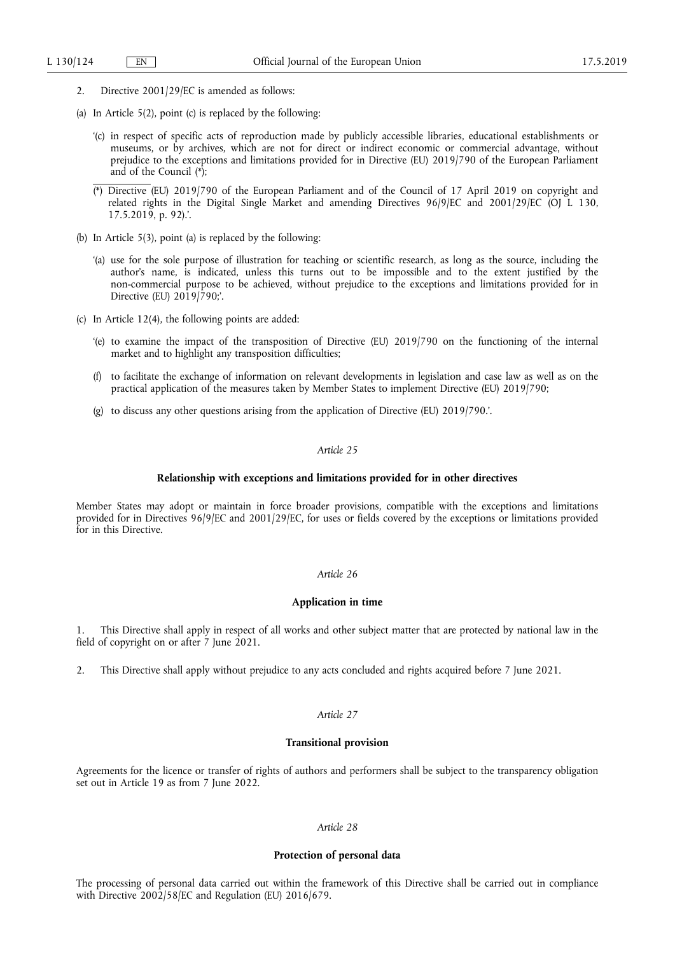- 2. Directive 2001/29/EC is amended as follows:
- (a) In Article 5(2), point (c) is replaced by the following:
	- '(c) in respect of specific acts of reproduction made by publicly accessible libraries, educational establishments or museums, or by archives, which are not for direct or indirect economic or commercial advantage, without prejudice to the exceptions and limitations provided for in Directive (EU) 2019/790 of the European Parliament and of the Council (\*);
	- (\*) Directive (EU) 2019/790 of the European Parliament and of the Council of 17 April 2019 on copyright and related rights in the Digital Single Market and amending Directives 96/9/EC and 2001/29/EC (OJ L 130, 17.5.2019, p. 92).'.
- (b) In Article 5(3), point (a) is replaced by the following:
	- '(a) use for the sole purpose of illustration for teaching or scientific research, as long as the source, including the author's name, is indicated, unless this turns out to be impossible and to the extent justified by the non-commercial purpose to be achieved, without prejudice to the exceptions and limitations provided for in Directive (EU) 2019/790;'.
- (c) In Article 12(4), the following points are added:
	- '(e) to examine the impact of the transposition of Directive (EU) 2019/790 on the functioning of the internal market and to highlight any transposition difficulties;
	- (f) to facilitate the exchange of information on relevant developments in legislation and case law as well as on the practical application of the measures taken by Member States to implement Directive (EU) 2019/790;
	- (g) to discuss any other questions arising from the application of Directive (EU) 2019/790.'.

#### *Article 25*

# **Relationship with exceptions and limitations provided for in other directives**

Member States may adopt or maintain in force broader provisions, compatible with the exceptions and limitations provided for in Directives 96/9/EC and 2001/29/EC, for uses or fields covered by the exceptions or limitations provided for in this Directive.

#### *Article 26*

### **Application in time**

1. This Directive shall apply in respect of all works and other subject matter that are protected by national law in the field of copyright on or after 7 June 2021.

2. This Directive shall apply without prejudice to any acts concluded and rights acquired before 7 June 2021.

#### *Article 27*

## **Transitional provision**

Agreements for the licence or transfer of rights of authors and performers shall be subject to the transparency obligation set out in Article 19 as from 7 June 2022.

# *Article 28*

#### **Protection of personal data**

The processing of personal data carried out within the framework of this Directive shall be carried out in compliance with Directive 2002/58/EC and Regulation (EU) 2016/679.